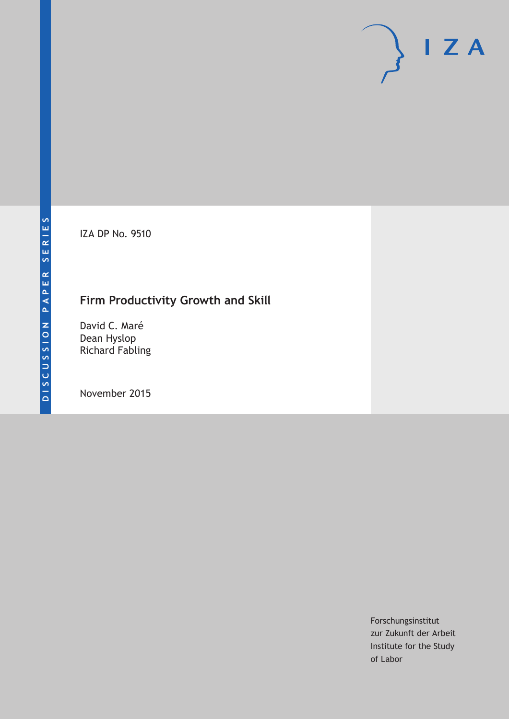IZA DP No. 9510

## **Firm Productivity Growth and Skill**

David C. Maré Dean Hyslop Richard Fabling

November 2015

Forschungsinstitut zur Zukunft der Arbeit Institute for the Study of Labor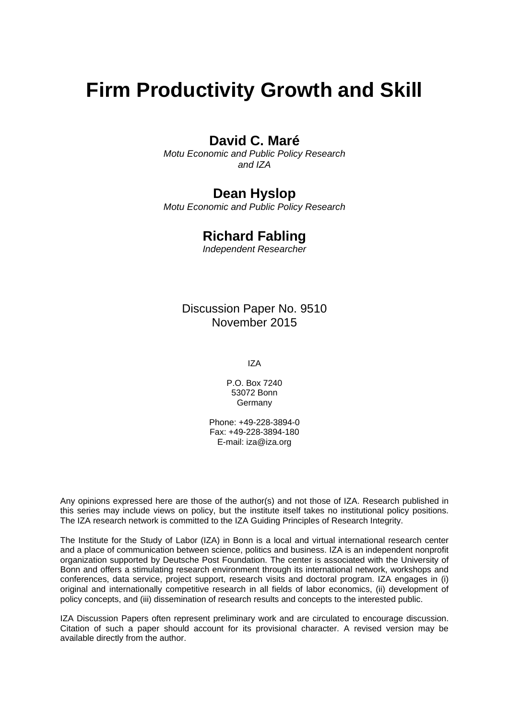# **Firm Productivity Growth and Skill**

## **David C. Maré**

*Motu Economic and Public Policy Research and IZA* 

## **Dean Hyslop**

*Motu Economic and Public Policy Research* 

## **Richard Fabling**

*Independent Researcher*

Discussion Paper No. 9510 November 2015

IZA

P.O. Box 7240 53072 Bonn Germany

Phone: +49-228-3894-0 Fax: +49-228-3894-180 E-mail: iza@iza.org

Any opinions expressed here are those of the author(s) and not those of IZA. Research published in this series may include views on policy, but the institute itself takes no institutional policy positions. The IZA research network is committed to the IZA Guiding Principles of Research Integrity.

The Institute for the Study of Labor (IZA) in Bonn is a local and virtual international research center and a place of communication between science, politics and business. IZA is an independent nonprofit organization supported by Deutsche Post Foundation. The center is associated with the University of Bonn and offers a stimulating research environment through its international network, workshops and conferences, data service, project support, research visits and doctoral program. IZA engages in (i) original and internationally competitive research in all fields of labor economics, (ii) development of policy concepts, and (iii) dissemination of research results and concepts to the interested public.

IZA Discussion Papers often represent preliminary work and are circulated to encourage discussion. Citation of such a paper should account for its provisional character. A revised version may be available directly from the author.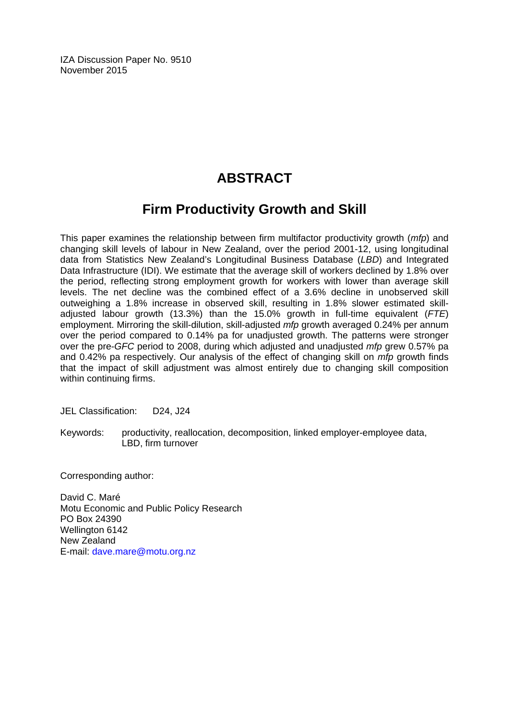IZA Discussion Paper No. 9510 November 2015

## **ABSTRACT**

## **Firm Productivity Growth and Skill**

This paper examines the relationship between firm multifactor productivity growth (*mfp*) and changing skill levels of labour in New Zealand, over the period 2001-12, using longitudinal data from Statistics New Zealand's Longitudinal Business Database (*LBD*) and Integrated Data Infrastructure (IDI). We estimate that the average skill of workers declined by 1.8% over the period, reflecting strong employment growth for workers with lower than average skill levels. The net decline was the combined effect of a 3.6% decline in unobserved skill outweighing a 1.8% increase in observed skill, resulting in 1.8% slower estimated skilladjusted labour growth (13.3%) than the 15.0% growth in full-time equivalent (*FTE*) employment. Mirroring the skill-dilution, skill-adjusted *mfp* growth averaged 0.24% per annum over the period compared to 0.14% pa for unadjusted growth. The patterns were stronger over the pre-*GFC* period to 2008, during which adjusted and unadjusted *mfp* grew 0.57% pa and 0.42% pa respectively. Our analysis of the effect of changing skill on *mfp* growth finds that the impact of skill adjustment was almost entirely due to changing skill composition within continuing firms.

JEL Classification: D24, J24

Keywords: productivity, reallocation, decomposition, linked employer-employee data, LBD, firm turnover

Corresponding author:

David C. Maré Motu Economic and Public Policy Research PO Box 24390 Wellington 6142 New Zealand E-mail: dave.mare@motu.org.nz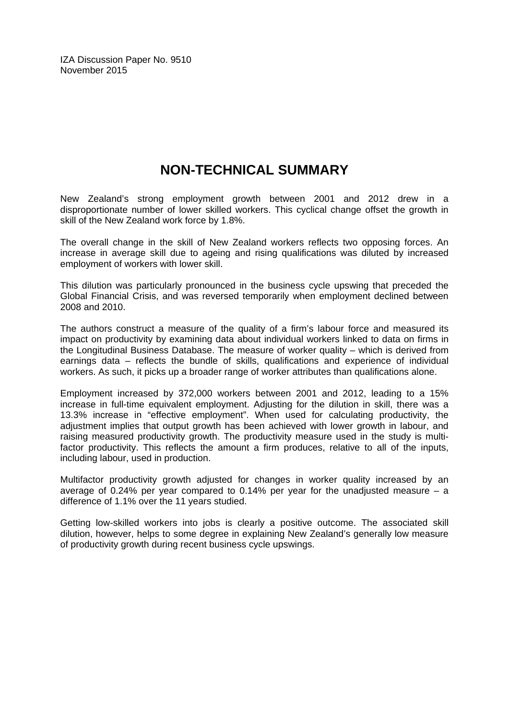IZA Discussion Paper No. 9510 November 2015

## **NON-TECHNICAL SUMMARY**

New Zealand's strong employment growth between 2001 and 2012 drew in a disproportionate number of lower skilled workers. This cyclical change offset the growth in skill of the New Zealand work force by 1.8%.

The overall change in the skill of New Zealand workers reflects two opposing forces. An increase in average skill due to ageing and rising qualifications was diluted by increased employment of workers with lower skill.

This dilution was particularly pronounced in the business cycle upswing that preceded the Global Financial Crisis, and was reversed temporarily when employment declined between 2008 and 2010.

The authors construct a measure of the quality of a firm's labour force and measured its impact on productivity by examining data about individual workers linked to data on firms in the Longitudinal Business Database. The measure of worker quality – which is derived from earnings data – reflects the bundle of skills, qualifications and experience of individual workers. As such, it picks up a broader range of worker attributes than qualifications alone.

Employment increased by 372,000 workers between 2001 and 2012, leading to a 15% increase in full-time equivalent employment. Adjusting for the dilution in skill, there was a 13.3% increase in "effective employment". When used for calculating productivity, the adjustment implies that output growth has been achieved with lower growth in labour, and raising measured productivity growth. The productivity measure used in the study is multifactor productivity. This reflects the amount a firm produces, relative to all of the inputs, including labour, used in production.

Multifactor productivity growth adjusted for changes in worker quality increased by an average of 0.24% per year compared to 0.14% per year for the unadjusted measure – a difference of 1.1% over the 11 years studied.

Getting low-skilled workers into jobs is clearly a positive outcome. The associated skill dilution, however, helps to some degree in explaining New Zealand's generally low measure of productivity growth during recent business cycle upswings.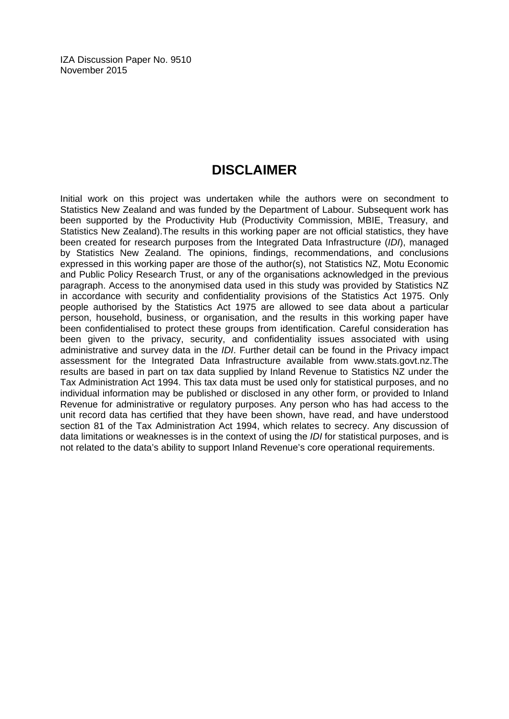IZA Discussion Paper No. 9510 November 2015

## **DISCLAIMER**

Initial work on this project was undertaken while the authors were on secondment to Statistics New Zealand and was funded by the Department of Labour. Subsequent work has been supported by the Productivity Hub (Productivity Commission, MBIE, Treasury, and Statistics New Zealand).The results in this working paper are not official statistics, they have been created for research purposes from the Integrated Data Infrastructure (*IDI*), managed by Statistics New Zealand. The opinions, findings, recommendations, and conclusions expressed in this working paper are those of the author(s), not Statistics NZ, Motu Economic and Public Policy Research Trust, or any of the organisations acknowledged in the previous paragraph. Access to the anonymised data used in this study was provided by Statistics NZ in accordance with security and confidentiality provisions of the Statistics Act 1975. Only people authorised by the Statistics Act 1975 are allowed to see data about a particular person, household, business, or organisation, and the results in this working paper have been confidentialised to protect these groups from identification. Careful consideration has been given to the privacy, security, and confidentiality issues associated with using administrative and survey data in the *IDI*. Further detail can be found in the Privacy impact assessment for the Integrated Data Infrastructure available from www.stats.govt.nz.The results are based in part on tax data supplied by Inland Revenue to Statistics NZ under the Tax Administration Act 1994. This tax data must be used only for statistical purposes, and no individual information may be published or disclosed in any other form, or provided to Inland Revenue for administrative or regulatory purposes. Any person who has had access to the unit record data has certified that they have been shown, have read, and have understood section 81 of the Tax Administration Act 1994, which relates to secrecy. Any discussion of data limitations or weaknesses is in the context of using the *IDI* for statistical purposes, and is not related to the data's ability to support Inland Revenue's core operational requirements.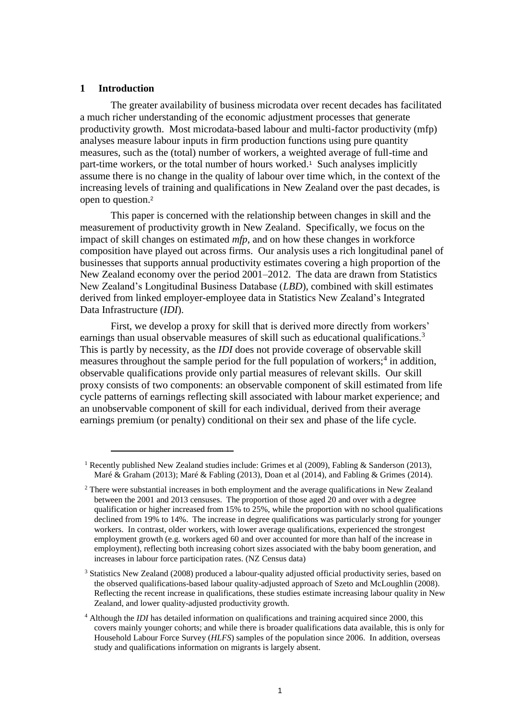### <span id="page-5-0"></span>**1 Introduction**

 $\overline{a}$ 

The greater availability of business microdata over recent decades has facilitated a much richer understanding of the economic adjustment processes that generate productivity growth. Most microdata-based labour and multi-factor productivity (mfp) analyses measure labour inputs in firm production functions using pure quantity measures, such as the (total) number of workers, a weighted average of full-time and part-time workers, or the total number of hours worked. <sup>1</sup> Such analyses implicitly assume there is no change in the quality of labour over time which, in the context of the increasing levels of training and qualifications in New Zealand over the past decades, is open to question.<sup>2</sup>

This paper is concerned with the relationship between changes in skill and the measurement of productivity growth in New Zealand. Specifically, we focus on the impact of skill changes on estimated *mfp*, and on how these changes in workforce composition have played out across firms. Our analysis uses a rich longitudinal panel of businesses that supports annual productivity estimates covering a high proportion of the New Zealand economy over the period 2001–2012. The data are drawn from Statistics New Zealand's Longitudinal Business Database (*LBD*), combined with skill estimates derived from linked employer-employee data in Statistics New Zealand's Integrated Data Infrastructure (*IDI*).

First, we develop a proxy for skill that is derived more directly from workers' earnings than usual observable measures of skill such as educational qualifications.<sup>3</sup> This is partly by necessity, as the *IDI* does not provide coverage of observable skill measures throughout the sample period for the full population of workers;<sup>4</sup> in addition, observable qualifications provide only partial measures of relevant skills. Our skill proxy consists of two components: an observable component of skill estimated from life cycle patterns of earnings reflecting skill associated with labour market experience; and an unobservable component of skill for each individual, derived from their average earnings premium (or penalty) conditional on their sex and phase of the life cycle.

<sup>&</sup>lt;sup>1</sup> Recently published New Zealand studies include: Grimes et al (2009), Fabling & Sanderson (2013), Maré & Graham (2013); Maré & Fabling (2013), Doan et al (2014), and Fabling & Grimes (2014).

<sup>&</sup>lt;sup>2</sup> There were substantial increases in both employment and the average qualifications in New Zealand between the 2001 and 2013 censuses. The proportion of those aged 20 and over with a degree qualification or higher increased from 15% to 25%, while the proportion with no school qualifications declined from 19% to 14%. The increase in degree qualifications was particularly strong for younger workers. In contrast, older workers, with lower average qualifications, experienced the strongest employment growth (e.g. workers aged 60 and over accounted for more than half of the increase in employment), reflecting both increasing cohort sizes associated with the baby boom generation, and increases in labour force participation rates. (NZ Census data)

<sup>&</sup>lt;sup>3</sup> Statistics New Zealand (2008) produced a labour-quality adjusted official productivity series, based on the observed qualifications-based labour quality-adjusted approach of Szeto and McLoughlin (2008). Reflecting the recent increase in qualifications, these studies estimate increasing labour quality in New Zealand, and lower quality-adjusted productivity growth.

<sup>4</sup> Although the *IDI* has detailed information on qualifications and training acquired since 2000, this covers mainly younger cohorts; and while there is broader qualifications data available, this is only for Household Labour Force Survey (*HLFS*) samples of the population since 2006. In addition, overseas study and qualifications information on migrants is largely absent.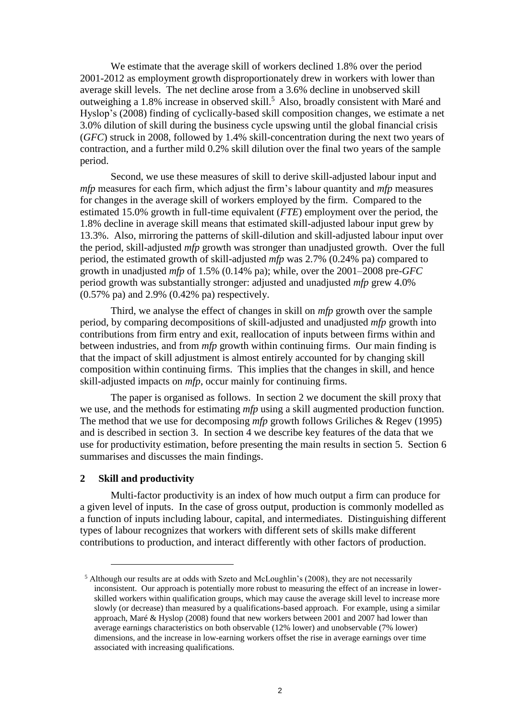We estimate that the average skill of workers declined 1.8% over the period 2001-2012 as employment growth disproportionately drew in workers with lower than average skill levels. The net decline arose from a 3.6% decline in unobserved skill outweighing a 1.8% increase in observed skill. <sup>5</sup> Also, broadly consistent with Maré and Hyslop's (2008) finding of cyclically-based skill composition changes, we estimate a net 3.0% dilution of skill during the business cycle upswing until the global financial crisis (*GFC*) struck in 2008, followed by 1.4% skill-concentration during the next two years of contraction, and a further mild 0.2% skill dilution over the final two years of the sample period.

Second, we use these measures of skill to derive skill-adjusted labour input and *mfp* measures for each firm, which adjust the firm's labour quantity and *mfp* measures for changes in the average skill of workers employed by the firm. Compared to the estimated 15.0% growth in full-time equivalent (*FTE*) employment over the period, the 1.8% decline in average skill means that estimated skill-adjusted labour input grew by 13.3%. Also, mirroring the patterns of skill-dilution and skill-adjusted labour input over the period, skill-adjusted *mfp* growth was stronger than unadjusted growth. Over the full period, the estimated growth of skill-adjusted *mfp* was 2.7% (0.24% pa) compared to growth in unadjusted *mfp* of 1.5% (0.14% pa); while, over the 2001–2008 pre-*GFC* period growth was substantially stronger: adjusted and unadjusted *mfp* grew 4.0% (0.57% pa) and 2.9% (0.42% pa) respectively.

Third, we analyse the effect of changes in skill on *mfp* growth over the sample period, by comparing decompositions of skill-adjusted and unadjusted *mfp* growth into contributions from firm entry and exit, reallocation of inputs between firms within and between industries, and from *mfp* growth within continuing firms. Our main finding is that the impact of skill adjustment is almost entirely accounted for by changing skill composition within continuing firms. This implies that the changes in skill, and hence skill-adjusted impacts on *mfp*, occur mainly for continuing firms.

The paper is organised as follows. In section [2](#page-6-0) we document the skill proxy that we use, and the methods for estimating *mfp* using a skill augmented production function. The method that we use for decomposing *mfp* growth follows Griliches & Regev (1995) and is described in section [3.](#page-10-0) In section [4](#page-13-0) we describe key features of the data that we use for productivity estimation, before presenting the main results in section [5.](#page-15-0) Section [6](#page-21-0) summarises and discusses the main findings.

#### <span id="page-6-0"></span>**2 Skill and productivity**

 $\overline{a}$ 

Multi-factor productivity is an index of how much output a firm can produce for a given level of inputs. In the case of gross output, production is commonly modelled as a function of inputs including labour, capital, and intermediates. Distinguishing different types of labour recognizes that workers with different sets of skills make different contributions to production, and interact differently with other factors of production.

<sup>&</sup>lt;sup>5</sup> Although our results are at odds with Szeto and McLoughlin's (2008), they are not necessarily inconsistent. Our approach is potentially more robust to measuring the effect of an increase in lowerskilled workers within qualification groups, which may cause the average skill level to increase more slowly (or decrease) than measured by a qualifications-based approach. For example, using a similar approach, Maré & Hyslop (2008) found that new workers between 2001 and 2007 had lower than average earnings characteristics on both observable (12% lower) and unobservable (7% lower) dimensions, and the increase in low-earning workers offset the rise in average earnings over time associated with increasing qualifications.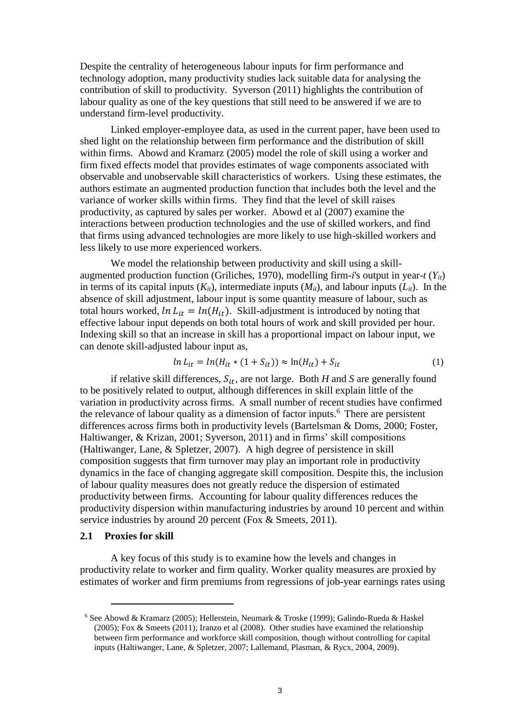Despite the centrality of heterogeneous labour inputs for firm performance and technology adoption, many productivity studies lack suitable data for analysing the contribution of skill to productivity. Syverson (2011) highlights the contribution of labour quality as one of the key questions that still need to be answered if we are to understand firm-level productivity.

Linked employer-employee data, as used in the current paper, have been used to shed light on the relationship between firm performance and the distribution of skill within firms. Abowd and Kramarz (2005) model the role of skill using a worker and firm fixed effects model that provides estimates of wage components associated with observable and unobservable skill characteristics of workers. Using these estimates, the authors estimate an augmented production function that includes both the level and the variance of worker skills within firms. They find that the level of skill raises productivity, as captured by sales per worker. Abowd et al (2007) examine the interactions between production technologies and the use of skilled workers, and find that firms using advanced technologies are more likely to use high-skilled workers and less likely to use more experienced workers.

We model the relationship between productivity and skill using a skillaugmented production function (Griliches, 1970), modelling firm-*i*'s output in year-*t* (*Yit*) in terms of its capital inputs  $(K_{it})$ , intermediate inputs  $(M_{it})$ , and labour inputs  $(L_{it})$ . In the absence of skill adjustment, labour input is some quantity measure of labour, such as total hours worked,  $ln L_{it} = ln(H_{it})$ . Skill-adjustment is introduced by noting that effective labour input depends on both total hours of work and skill provided per hour. Indexing skill so that an increase in skill has a proportional impact on labour input, we can denote skill-adjusted labour input as,

<span id="page-7-1"></span><span id="page-7-0"></span>
$$
\ln L_{it} = \ln(H_{it} * (1 + S_{it})) \approx \ln(H_{it}) + S_{it}
$$
 (1)

if relative skill differences,  $S_{it}$ , are not large. Both *H* and *S* are generally found to be positively related to output, although differences in skill explain little of the variation in productivity across firms. A small number of recent studies have confirmed the relevance of labour quality as a dimension of factor inputs.<sup>6</sup> There are persistent differences across firms both in productivity levels (Bartelsman & Doms, 2000; Foster, Haltiwanger, & Krizan, 2001; Syverson, 2011) and in firms' skill compositions (Haltiwanger, Lane, & Spletzer, 2007). A high degree of persistence in skill composition suggests that firm turnover may play an important role in productivity dynamics in the face of changing aggregate skill composition. Despite this, the inclusion of labour quality measures does not greatly reduce the dispersion of estimated productivity between firms. Accounting for labour quality differences reduces the productivity dispersion within manufacturing industries by around 10 percent and within service industries by around 20 percent (Fox & Smeets, 2011).

## <span id="page-7-2"></span>**2.1 Proxies for skill**

 $\overline{a}$ 

A key focus of this study is to examine how the levels and changes in productivity relate to worker and firm quality. Worker quality measures are proxied by estimates of worker and firm premiums from regressions of job-year earnings rates using

<sup>6</sup> See Abowd & Kramarz (2005); Hellerstein, Neumark & Troske (1999); Galindo-Rueda & Haskel (2005); Fox & Smeets (2011); Iranzo et al (2008). Other studies have examined the relationship between firm performance and workforce skill composition, though without controlling for capital inputs (Haltiwanger, Lane, & Spletzer, 2007; Lallemand, Plasman, & Rycx, 2004, 2009).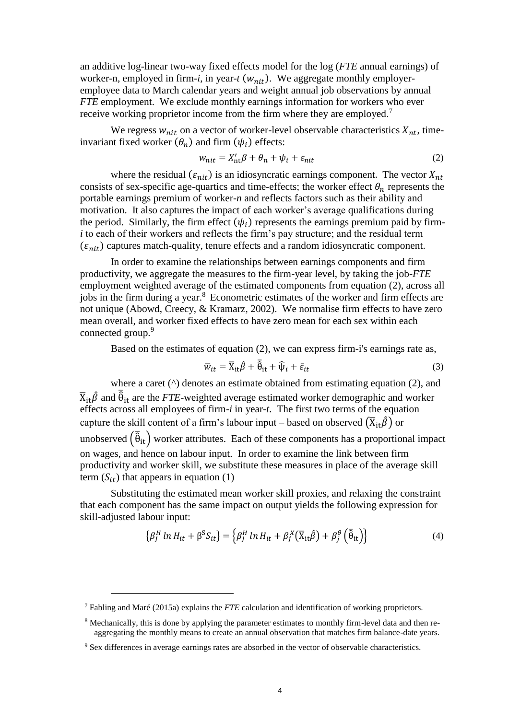an additive log-linear two-way fixed effects model for the log (*FTE* annual earnings) of worker-n, employed in firm-*i*, in year-*t* ( $w_{nit}$ ). We aggregate monthly employeremployee data to March calendar years and weight annual job observations by annual *FTE* employment. We exclude monthly earnings information for workers who ever receive working proprietor income from the firm where they are employed.<sup>7</sup>

We regress  $w_{nit}$  on a vector of worker-level observable characteristics  $X_{nt}$ , timeinvariant fixed worker  $(\theta_n)$  and firm  $(\psi_i)$  effects:

<span id="page-8-0"></span>
$$
w_{nit} = X'_{nt} \beta + \theta_n + \psi_i + \varepsilon_{nit} \tag{2}
$$

where the residual  $(\varepsilon_{nit})$  is an idiosyncratic earnings component. The vector  $X_{nt}$ consists of sex-specific age-quartics and time-effects; the worker effect  $\theta_n$  represents the portable earnings premium of worker-*n* and reflects factors such as their ability and motivation. It also captures the impact of each worker's average qualifications during the period. Similarly, the firm effect  $(\psi_i)$  represents the earnings premium paid by firm*i* to each of their workers and reflects the firm's pay structure; and the residual term  $(\varepsilon_{nit})$  captures match-quality, tenure effects and a random idiosyncratic component.

In order to examine the relationships between earnings components and firm productivity, we aggregate the measures to the firm-year level, by taking the job-*FTE* employment weighted average of the estimated components from equation [\(2\)](#page-8-0), across all jobs in the firm during a year.<sup>8</sup> Econometric estimates of the worker and firm effects are not unique (Abowd, Creecy, & Kramarz, 2002). We normalise firm effects to have zero mean overall, and worker fixed effects to have zero mean for each sex within each connected group.<sup>9</sup>

Based on the estimates of equation [\(2\)](#page-8-0), we can express firm-i's earnings rate as,

<span id="page-8-1"></span>
$$
\overline{w}_{it} = \overline{X}_{it}\hat{\beta} + \overline{\hat{\theta}}_{it} + \widehat{\psi}_i + \overline{\varepsilon}_{it}
$$
\n(3)

where a caret ( $\land$ ) denotes an estimate obtained from estimating equation [\(2\)](#page-8-0), and  $\overline{X}_{it}\hat{\beta}$  and  $\overline{\hat{\theta}}_{it}$  are the *FTE*-weighted average estimated worker demographic and worker effects across all employees of firm-*i* in year-*t*. The first two terms of the equation capture the skill content of a firm's labour input – based on observed  $(\overline{X}_{it}\hat{\beta})$  or unobserved  $\left(\bar{\hat{\theta}}_{it}\right)$  worker attributes. Each of these components has a proportional impact on wages, and hence on labour input. In order to examine the link between firm productivity and worker skill, we substitute these measures in place of the average skill term  $(S_{it})$  that appears in equation [\(1\)](#page-7-0)

Substituting the estimated mean worker skill proxies, and relaxing the constraint that each component has the same impact on output yields the following expression for skill-adjusted labour input:

$$
\{\beta_j^H \ln H_{it} + \beta^S S_{it}\} = \left\{\beta_j^H \ln H_{it} + \beta_j^X (\overline{X}_{it}\hat{\beta}) + \beta_j^\theta (\overline{\hat{\theta}}_{it})\right\} \tag{4}
$$

 $\overline{a}$ 

<sup>7</sup> Fabling and Maré (2015a) explains the *FTE* calculation and identification of working proprietors.

<sup>8</sup> Mechanically, this is done by applying the parameter estimates to monthly firm-level data and then reaggregating the monthly means to create an annual observation that matches firm balance-date years.

<sup>9</sup> Sex differences in average earnings rates are absorbed in the vector of observable characteristics.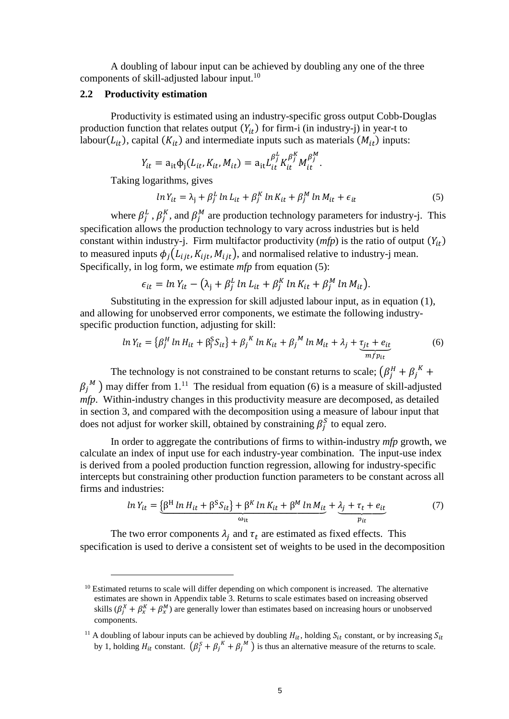A doubling of labour input can be achieved by doubling any one of the three components of skill-adjusted labour input.<sup>10</sup>

## **2.2 Productivity estimation**

 $\overline{a}$ 

Productivity is estimated using an industry-specific gross output Cobb-Douglas production function that relates output  $(Y_{it})$  for firm-i (in industry-j) in year-t to labour( $L_{it}$ ), capital ( $K_{it}$ ) and intermediate inputs such as materials ( $M_{it}$ ) inputs:

$$
Y_{it} = a_{it} \phi_j(L_{it}, K_{it}, M_{it}) = a_{it} L_{it}^{\beta_i^L} K_{it}^{\beta_j^K} M_{it}^{\beta_j^M}.
$$

Taking logarithms, gives

<span id="page-9-3"></span><span id="page-9-0"></span>
$$
ln Y_{it} = \lambda_j + \beta_j^L ln L_{it} + \beta_j^K ln K_{it} + \beta_j^M ln M_{it} + \epsilon_{it}
$$
\n<sup>(5)</sup>

where  $\beta_j^L$ ,  $\beta_j^K$ , and  $\beta_j^M$  are production technology parameters for industry-j. This specification allows the production technology to vary across industries but is held constant within industry-j. Firm multifactor productivity  $(mfp)$  is the ratio of output  $(Y_{it})$ to measured inputs  $\phi_j(L_{ijt}, K_{ijt}, M_{ijt})$ , and normalised relative to industry-j mean. Specifically, in log form, we estimate *mfp* from equation [\(5\)](#page-9-0):

<span id="page-9-1"></span>
$$
\epsilon_{it} = \ln Y_{it} - (\lambda_j + \beta_j^L \ln L_{it} + \beta_j^K \ln K_{it} + \beta_j^M \ln M_{it}).
$$

Substituting in the expression for skill adjusted labour input, as in equation [\(1\)](#page-7-0), and allowing for unobserved error components, we estimate the following industryspecific production function, adjusting for skill:

$$
\ln Y_{it} = \left\{ \beta_j^H \ln H_{it} + \beta_j^S S_{it} \right\} + \beta_j^K \ln K_{it} + \beta_j^M \ln M_{it} + \lambda_j + \underbrace{\tau_{jt} + e_{it}}_{mfp_{it}} \tag{6}
$$

The technology is not constrained to be constant returns to scale;  $(\beta_j^H + \beta_j^F + \beta_k^F)$  $\beta_j^M$ ) may differ from 1.<sup>11</sup> The residual from equation [\(6\)](#page-9-1) is a measure of skill-adjusted *mfp*. Within-industry changes in this productivity measure are decomposed, as detailed in section [3,](#page-10-0) and compared with the decomposition using a measure of labour input that does not adjust for worker skill, obtained by constraining  $\beta_j^S$  to equal zero.

In order to aggregate the contributions of firms to within-industry *mfp* growth, we calculate an index of input use for each industry-year combination. The input-use index is derived from a pooled production function regression, allowing for industry-specific intercepts but constraining other production function parameters to be constant across all firms and industries:

<span id="page-9-2"></span>
$$
ln Y_{it} = \underbrace{\{\beta^{H} ln H_{it} + \beta^{S} S_{it}\} + \beta^{K} ln K_{it} + \beta^{M} ln M_{it}}_{\omega_{it}} + \underbrace{\lambda_{j} + \tau_{t} + e_{it}}_{p_{it}}
$$
(7)

The two error components  $\lambda_i$  and  $\tau_t$  are estimated as fixed effects. This specification is used to derive a consistent set of weights to be used in the decomposition

<sup>&</sup>lt;sup>10</sup> Estimated returns to scale will differ depending on which component is increased. The alternative estimates are shown in [Appendix table 3.](#page-39-0) Returns to scale estimates based on increasing observed skills  $(\beta_j^X + \beta_x^X + \beta_x^M)$  are generally lower than estimates based on increasing hours or unobserved components.

<sup>&</sup>lt;sup>11</sup> A doubling of labour inputs can be achieved by doubling  $H_{it}$ , holding  $S_{it}$  constant, or by increasing  $S_{it}$ by 1, holding  $H_{it}$  constant.  $(\beta_j^S + \beta_j^K + \beta_j^M)$  is thus an alternative measure of the returns to scale.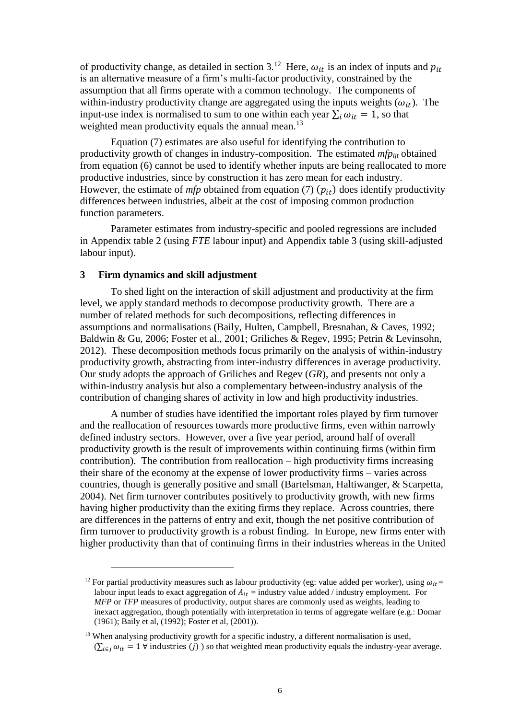of productivity change, as detailed in section [3.](#page-10-0)<sup>12</sup> Here,  $\omega_{it}$  is an index of inputs and  $p_{it}$ is an alternative measure of a firm's multi-factor productivity, constrained by the assumption that all firms operate with a common technology. The components of within-industry productivity change are aggregated using the inputs weights  $(\omega_{it})$ . The input-use index is normalised to sum to one within each year  $\sum_i \omega_{it} = 1$ , so that weighted mean productivity equals the annual mean.<sup>13</sup>

Equation [\(7\)](#page-9-2) estimates are also useful for identifying the contribution to productivity growth of changes in industry-composition. The estimated *mfpijt* obtained from equation [\(6\)](#page-9-1) cannot be used to identify whether inputs are being reallocated to more productive industries, since by construction it has zero mean for each industry. However, the estimate of *mfp* obtained from equation [\(7\)](#page-9-2)  $(p_{it})$  does identify productivity differences between industries, albeit at the cost of imposing common production function parameters.

Parameter estimates from industry-specific and pooled regressions are included in [Appendix table 2](#page-38-0) (using *FTE* labour input) and [Appendix table 3](#page-39-0) (using skill-adjusted labour input).

### <span id="page-10-0"></span>**3 Firm dynamics and skill adjustment**

 $\overline{a}$ 

To shed light on the interaction of skill adjustment and productivity at the firm level, we apply standard methods to decompose productivity growth. There are a number of related methods for such decompositions, reflecting differences in assumptions and normalisations (Baily, Hulten, Campbell, Bresnahan, & Caves, 1992; Baldwin & Gu, 2006; Foster et al., 2001; Griliches & Regev, 1995; Petrin & Levinsohn, 2012). These decomposition methods focus primarily on the analysis of within-industry productivity growth, abstracting from inter-industry differences in average productivity. Our study adopts the approach of Griliches and Regev (*GR*), and presents not only a within-industry analysis but also a complementary between-industry analysis of the contribution of changing shares of activity in low and high productivity industries.

A number of studies have identified the important roles played by firm turnover and the reallocation of resources towards more productive firms, even within narrowly defined industry sectors. However, over a five year period, around half of overall productivity growth is the result of improvements within continuing firms (within firm contribution). The contribution from reallocation – high productivity firms increasing their share of the economy at the expense of lower productivity firms – varies across countries, though is generally positive and small (Bartelsman, Haltiwanger, & Scarpetta, 2004). Net firm turnover contributes positively to productivity growth, with new firms having higher productivity than the exiting firms they replace. Across countries, there are differences in the patterns of entry and exit, though the net positive contribution of firm turnover to productivity growth is a robust finding. In Europe, new firms enter with higher productivity than that of continuing firms in their industries whereas in the United

<sup>&</sup>lt;sup>12</sup> For partial productivity measures such as labour productivity (eg: value added per worker), using  $\omega_{it}$ labour input leads to exact aggregation of  $A_{it}$  = industry value added / industry employment. For *MFP* or *TFP* measures of productivity, output shares are commonly used as weights, leading to inexact aggregation, though potentially with interpretation in terms of aggregate welfare (e.g.: Domar (1961); Baily et al, (1992); Foster et al, (2001)).

<sup>&</sup>lt;sup>13</sup> When analysing productivity growth for a specific industry, a different normalisation is used,  $(\sum_{i \in j} \omega_{it} = 1 \forall$  industries (j)) so that weighted mean productivity equals the industry-year average.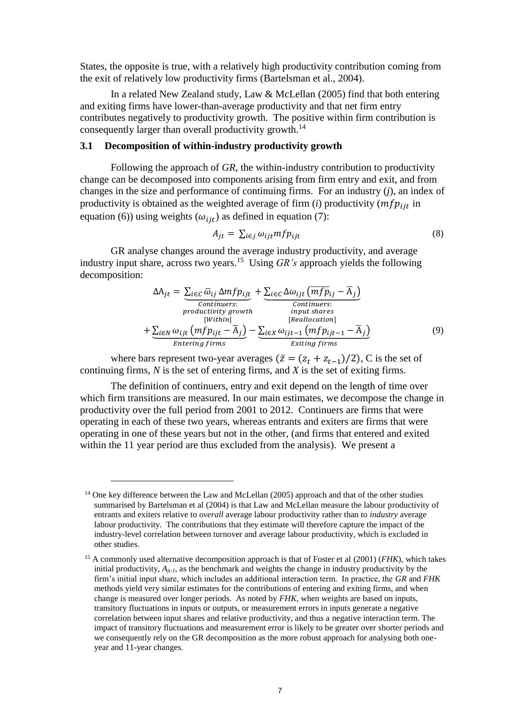States, the opposite is true, with a relatively high productivity contribution coming from the exit of relatively low productivity firms (Bartelsman et al., 2004).

In a related New Zealand study, Law & McLellan (2005) find that both entering and exiting firms have lower-than-average productivity and that net firm entry contributes negatively to productivity growth. The positive within firm contribution is consequently larger than overall productivity growth.<sup>14</sup>

## **3.1 Decomposition of within-industry productivity growth**

Following the approach of *GR*, the within-industry contribution to productivity change can be decomposed into components arising from firm entry and exit, and from changes in the size and performance of continuing firms. For an industry (*j*), an index of productivity is obtained as the weighted average of firm  $(i)$  productivity  $(mfp_{ijt}$  in equation [\(6\)](#page-9-1)) using weights ( $\omega_{ijt}$ ) as defined in equation [\(7\)](#page-9-2):

<span id="page-11-0"></span>
$$
A_{jt} = \sum_{i \in j} \omega_{ijt} m f p_{ijt} \tag{8}
$$

GR analyse changes around the average industry productivity, and average industry input share, across two years.<sup>15</sup> Using *GR's* approach yields the following decomposition:

$$
\Delta A_{jt} = \underbrace{\sum_{i \in C} \overline{\omega}_{ij} \Delta m f p_{ijt}}_{\text{continuers:}} + \underbrace{\sum_{i \in C} \Delta \omega_{ijt} \left( \overline{m f p}_{ij} - \overline{A}_j \right)}_{\text{continuers:}} + \underbrace{\sum_{i \in N} \omega_{ijt} \left( \overline{m f p}_{ijt} - \overline{A}_j \right)}_{\text{[Reallocation]}} - \underbrace{\sum_{i \in N} \omega_{ijt} \left( \overline{m f p}_{ijt} - \overline{A}_j \right)}_{\text{Exitting firms}} - \underbrace{\sum_{i \in X} \omega_{ijt-1} \left( \overline{m f p}_{ijt-1} - \overline{A}_j \right)}_{\text{Exiting firms}} \tag{9}
$$

where bars represent two-year averages  $(\bar{z} = (z_t + z_{t-1})/2)$ , C is the set of continuing firms, *N* is the set of entering firms, and *X* is the set of exiting firms.

The definition of continuers, entry and exit depend on the length of time over which firm transitions are measured. In our main estimates, we decompose the change in productivity over the full period from 2001 to 2012. Continuers are firms that were operating in each of these two years, whereas entrants and exiters are firms that were operating in one of these years but not in the other, (and firms that entered and exited within the 11 year period are thus excluded from the analysis). We present a

 $\overline{a}$ 

<sup>&</sup>lt;sup>14</sup> One key difference between the Law and McLellan (2005) approach and that of the other studies summarised by Bartelsman et al (2004) is that Law and McLellan measure the labour productivity of entrants and exiters relative to *overall* average labour productivity rather than to *industry* average labour productivity. The contributions that they estimate will therefore capture the impact of the industry-level correlation between turnover and average labour productivity, which is excluded in other studies.

<sup>15</sup> A commonly used alternative decomposition approach is that of Foster et al (2001) (*FHK*), which takes initial productivity,  $A_{it-1}$ , as the benchmark and weights the change in industry productivity by the firm's initial input share, which includes an additional interaction term. In practice, the *GR* and *FHK* methods yield very similar estimates for the contributions of entering and exiting firms, and when change is measured over longer periods. As noted by *FHK*, when weights are based on inputs, transitory fluctuations in inputs or outputs, or measurement errors in inputs generate a negative correlation between input shares and relative productivity, and thus a negative interaction term. The impact of transitory fluctuations and measurement error is likely to be greater over shorter periods and we consequently rely on the GR decomposition as the more robust approach for analysing both oneyear and 11-year changes.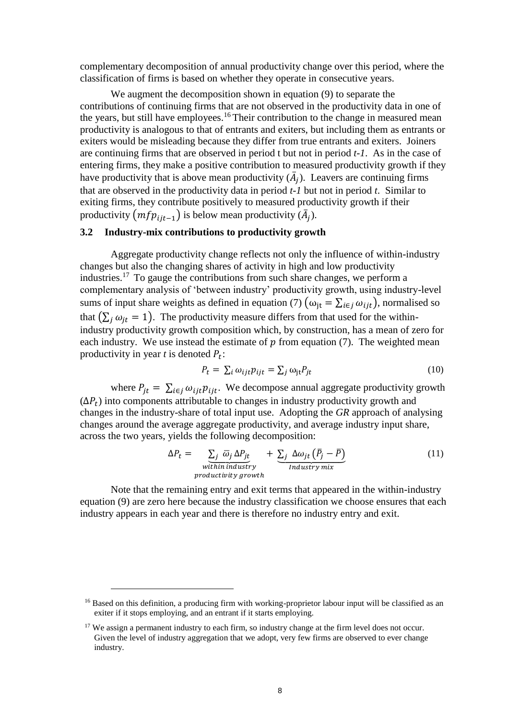complementary decomposition of annual productivity change over this period, where the classification of firms is based on whether they operate in consecutive years.

We augment the decomposition shown in equation [\(9\)](#page-11-0) to separate the contributions of continuing firms that are not observed in the productivity data in one of the years, but still have employees.<sup>16</sup> Their contribution to the change in measured mean productivity is analogous to that of entrants and exiters, but including them as entrants or exiters would be misleading because they differ from true entrants and exiters. Joiners are continuing firms that are observed in period t but not in period *t-1*. As in the case of entering firms, they make a positive contribution to measured productivity growth if they have productivity that is above mean productivity  $(\bar{A}_j)$ . Leavers are continuing firms that are observed in the productivity data in period *t-1* but not in period *t*. Similar to exiting firms, they contribute positively to measured productivity growth if their productivity  $(mfp_{ijt-1})$  is below mean productivity  $(\bar{A}_j)$ .

## **3.2 Industry-mix contributions to productivity growth**

Aggregate productivity change reflects not only the influence of within-industry changes but also the changing shares of activity in high and low productivity industries.<sup>17</sup> To gauge the contributions from such share changes, we perform a complementary analysis of 'between industry' productivity growth, using industry-level sums of input share weights as defined in equation [\(7\)](#page-9-2)  $(\omega_{it} = \sum_{i \in i} \omega_{i}$ , normalised so that  $(\sum_j \omega_{jt} = 1)$ . The productivity measure differs from that used for the withinindustry productivity growth composition which, by construction, has a mean of zero for each industry. We use instead the estimate of  $p$  from equation [\(7\)](#page-9-2). The weighted mean productivity in year  $t$  is denoted  $P_t$ :

<span id="page-12-0"></span>
$$
P_t = \sum_i \omega_{ijt} p_{ijt} = \sum_j \omega_{jt} P_{jt}
$$
\n(10)

where  $P_{jt} = \sum_{i \in j} \omega_{ijt} p_{ijt}$ . We decompose annual aggregate productivity growth  $(\Delta P_t)$  into components attributable to changes in industry productivity growth and changes in the industry-share of total input use. Adopting the *GR* approach of analysing changes around the average aggregate productivity, and average industry input share, across the two years, yields the following decomposition:

$$
\Delta P_t = \underbrace{\sum_{j} \overline{\omega}_j \Delta P_{jt}}_{\text{within industry} \atop \text{productivity} \text{growth}} + \underbrace{\sum_{j} \Delta \omega_{jt} (\overline{P}_j - \overline{P})}_{\text{Industry mix}} \tag{11}
$$

Note that the remaining entry and exit terms that appeared in the within-industry equation [\(9\)](#page-11-0) are zero here because the industry classification we choose ensures that each industry appears in each year and there is therefore no industry entry and exit.

 $\overline{a}$ 

<sup>&</sup>lt;sup>16</sup> Based on this definition, a producing firm with working-proprietor labour input will be classified as an exiter if it stops employing, and an entrant if it starts employing.

<sup>&</sup>lt;sup>17</sup> We assign a permanent industry to each firm, so industry change at the firm level does not occur. Given the level of industry aggregation that we adopt, very few firms are observed to ever change industry.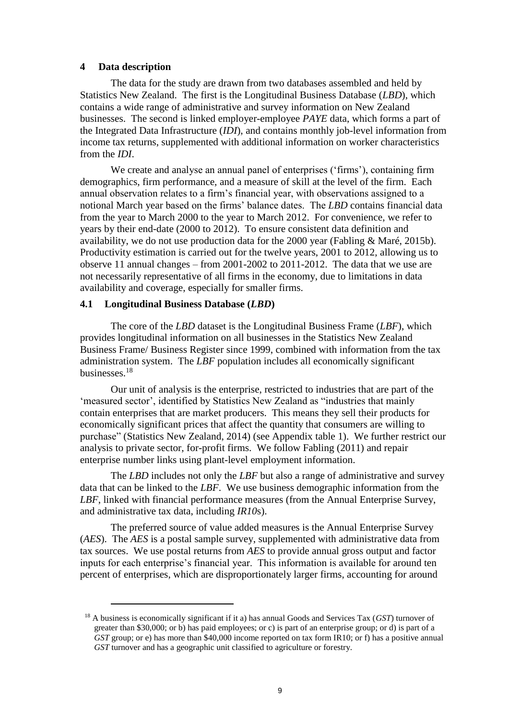### <span id="page-13-0"></span>**4 Data description**

 $\overline{a}$ 

The data for the study are drawn from two databases assembled and held by Statistics New Zealand. The first is the Longitudinal Business Database (*LBD*), which contains a wide range of administrative and survey information on New Zealand businesses. The second is linked employer-employee *PAYE* data, which forms a part of the Integrated Data Infrastructure (*IDI*), and contains monthly job-level information from income tax returns, supplemented with additional information on worker characteristics from the *IDI*.

We create and analyse an annual panel of enterprises ('firms'), containing firm demographics, firm performance, and a measure of skill at the level of the firm. Each annual observation relates to a firm's financial year, with observations assigned to a notional March year based on the firms' balance dates. The *LBD* contains financial data from the year to March 2000 to the year to March 2012. For convenience, we refer to years by their end-date (2000 to 2012). To ensure consistent data definition and availability, we do not use production data for the 2000 year (Fabling & Maré, 2015b). Productivity estimation is carried out for the twelve years, 2001 to 2012, allowing us to observe 11 annual changes – from 2001-2002 to 2011-2012. The data that we use are not necessarily representative of all firms in the economy, due to limitations in data availability and coverage, especially for smaller firms.

## **4.1 Longitudinal Business Database (***LBD***)**

The core of the *LBD* dataset is the Longitudinal Business Frame (*LBF*), which provides longitudinal information on all businesses in the Statistics New Zealand Business Frame/ Business Register since 1999, combined with information from the tax administration system. The *LBF* population includes all economically significant businesses.<sup>18</sup>

Our unit of analysis is the enterprise, restricted to industries that are part of the 'measured sector', identified by Statistics New Zealand as "industries that mainly contain enterprises that are market producers. This means they sell their products for economically significant prices that affect the quantity that consumers are willing to purchase" (Statistics New Zealand, 2014) (see [Appendix table 1\)](#page-36-0). We further restrict our analysis to private sector, for-profit firms. We follow Fabling (2011) and repair enterprise number links using plant-level employment information.

The *LBD* includes not only the *LBF* but also a range of administrative and survey data that can be linked to the *LBF*. We use business demographic information from the *LBF*, linked with financial performance measures (from the Annual Enterprise Survey, and administrative tax data, including *IR10*s).

The preferred source of value added measures is the Annual Enterprise Survey (*AES*). The *AES* is a postal sample survey, supplemented with administrative data from tax sources. We use postal returns from *AES* to provide annual gross output and factor inputs for each enterprise's financial year. This information is available for around ten percent of enterprises, which are disproportionately larger firms, accounting for around

<sup>18</sup> A business is economically significant if it a) has annual Goods and Services Tax (*GST*) turnover of greater than \$30,000; or b) has paid employees; or c) is part of an enterprise group; or d) is part of a *GST* group; or e) has more than \$40,000 income reported on tax form IR10; or f) has a positive annual *GST* turnover and has a geographic unit classified to agriculture or forestry.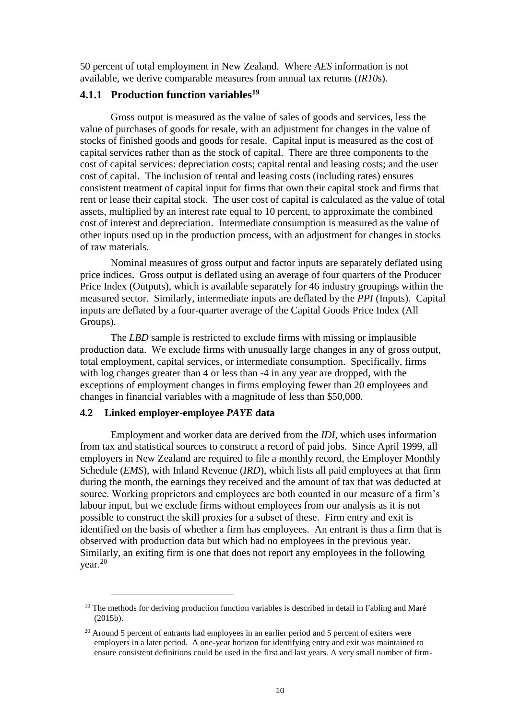50 percent of total employment in New Zealand. Where *AES* information is not available, we derive comparable measures from annual tax returns (*IR10*s).

## **4.1.1 Production function variables<sup>19</sup>**

Gross output is measured as the value of sales of goods and services, less the value of purchases of goods for resale, with an adjustment for changes in the value of stocks of finished goods and goods for resale. Capital input is measured as the cost of capital services rather than as the stock of capital. There are three components to the cost of capital services: depreciation costs; capital rental and leasing costs; and the user cost of capital. The inclusion of rental and leasing costs (including rates) ensures consistent treatment of capital input for firms that own their capital stock and firms that rent or lease their capital stock. The user cost of capital is calculated as the value of total assets, multiplied by an interest rate equal to 10 percent, to approximate the combined cost of interest and depreciation. Intermediate consumption is measured as the value of other inputs used up in the production process, with an adjustment for changes in stocks of raw materials.

Nominal measures of gross output and factor inputs are separately deflated using price indices. Gross output is deflated using an average of four quarters of the Producer Price Index (Outputs), which is available separately for 46 industry groupings within the measured sector. Similarly, intermediate inputs are deflated by the *PPI* (Inputs). Capital inputs are deflated by a four-quarter average of the Capital Goods Price Index (All Groups).

The *LBD* sample is restricted to exclude firms with missing or implausible production data. We exclude firms with unusually large changes in any of gross output, total employment, capital services, or intermediate consumption. Specifically, firms with log changes greater than 4 or less than -4 in any year are dropped, with the exceptions of employment changes in firms employing fewer than 20 employees and changes in financial variables with a magnitude of less than \$50,000.

## **4.2 Linked employer-employee** *PAYE* **data**

 $\overline{a}$ 

Employment and worker data are derived from the *IDI*, which uses information from tax and statistical sources to construct a record of paid jobs. Since April 1999, all employers in New Zealand are required to file a monthly record, the Employer Monthly Schedule (*EMS*), with Inland Revenue (*IRD*), which lists all paid employees at that firm during the month, the earnings they received and the amount of tax that was deducted at source. Working proprietors and employees are both counted in our measure of a firm's labour input, but we exclude firms without employees from our analysis as it is not possible to construct the skill proxies for a subset of these. Firm entry and exit is identified on the basis of whether a firm has employees. An entrant is thus a firm that is observed with production data but which had no employees in the previous year. Similarly, an exiting firm is one that does not report any employees in the following year.<sup>20</sup>

<sup>&</sup>lt;sup>19</sup> The methods for deriving production function variables is described in detail in Fabling and Maré (2015b).

<sup>&</sup>lt;sup>20</sup> Around 5 percent of entrants had employees in an earlier period and 5 percent of exiters were employers in a later period. A one-year horizon for identifying entry and exit was maintained to ensure consistent definitions could be used in the first and last years. A very small number of firm-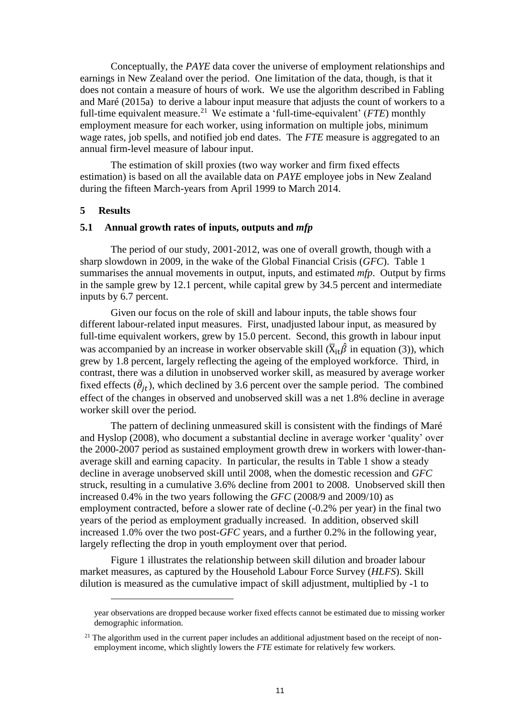Conceptually, the *PAYE* data cover the universe of employment relationships and earnings in New Zealand over the period. One limitation of the data, though, is that it does not contain a measure of hours of work. We use the algorithm described in Fabling and Maré (2015a) to derive a labour input measure that adjusts the count of workers to a full-time equivalent measure.<sup>21</sup> We estimate a 'full-time-equivalent' (*FTE*) monthly employment measure for each worker, using information on multiple jobs, minimum wage rates, job spells, and notified job end dates. The *FTE* measure is aggregated to an annual firm-level measure of labour input.

The estimation of skill proxies (two way worker and firm fixed effects estimation) is based on all the available data on *PAYE* employee jobs in New Zealand during the fifteen March-years from April 1999 to March 2014.

## <span id="page-15-0"></span>**5 Results**

 $\overline{a}$ 

## **5.1 Annual growth rates of inputs, outputs and** *mfp*

The period of our study, 2001-2012, was one of overall growth, though with a sharp slowdown in 2009, in the wake of the Global Financial Crisis (*GFC*). [Table 1](#page-26-0) summarises the annual movements in output, inputs, and estimated *mfp*. Output by firms in the sample grew by 12.1 percent, while capital grew by 34.5 percent and intermediate inputs by 6.7 percent.

Given our focus on the role of skill and labour inputs, the table shows four different labour-related input measures. First, unadjusted labour input, as measured by full-time equivalent workers, grew by 15.0 percent. Second, this growth in labour input was accompanied by an increase in worker observable skill  $(\overline{X}_{it}\hat{\beta})$  in equation [\(3\)](#page-8-1)), which grew by 1.8 percent, largely reflecting the ageing of the employed workforce. Third, in contrast, there was a dilution in unobserved worker skill, as measured by average worker fixed effects  $(\bar{\theta}_{jt})$ , which declined by 3.6 percent over the sample period. The combined effect of the changes in observed and unobserved skill was a net 1.8% decline in average worker skill over the period.

The pattern of declining unmeasured skill is consistent with the findings of Maré and Hyslop (2008), who document a substantial decline in average worker 'quality' over the 2000-2007 period as sustained employment growth drew in workers with lower-thanaverage skill and earning capacity. In particular, the results in [Table 1](#page-26-0) show a steady decline in average unobserved skill until 2008, when the domestic recession and *GFC* struck, resulting in a cumulative 3.6% decline from 2001 to 2008. Unobserved skill then increased 0.4% in the two years following the *GFC* (2008/9 and 2009/10) as employment contracted, before a slower rate of decline (-0.2% per year) in the final two years of the period as employment gradually increased. In addition, observed skill increased 1.0% over the two post-*GFC* years, and a further 0.2% in the following year, largely reflecting the drop in youth employment over that period.

[Figure 1](#page-32-0) illustrates the relationship between skill dilution and broader labour market measures, as captured by the Household Labour Force Survey (*HLFS*). Skill dilution is measured as the cumulative impact of skill adjustment, multiplied by -1 to

year observations are dropped because worker fixed effects cannot be estimated due to missing worker demographic information.

 $21$  The algorithm used in the current paper includes an additional adjustment based on the receipt of nonemployment income, which slightly lowers the *FTE* estimate for relatively few workers.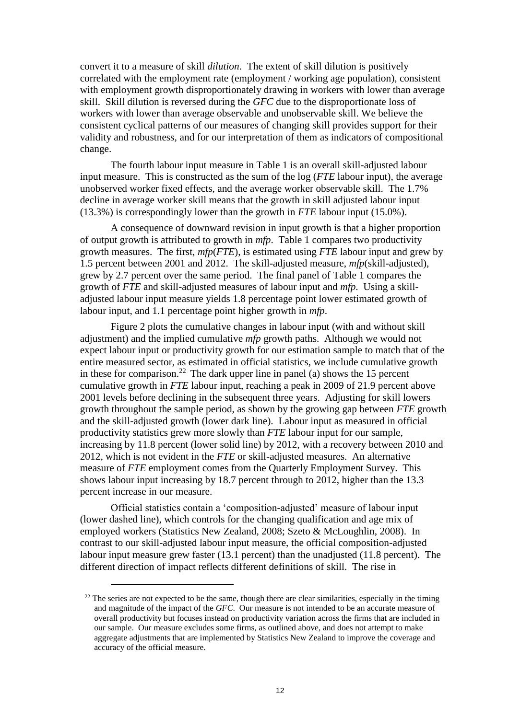convert it to a measure of skill *dilution*. The extent of skill dilution is positively correlated with the employment rate (employment / working age population), consistent with employment growth disproportionately drawing in workers with lower than average skill. Skill dilution is reversed during the *GFC* due to the disproportionate loss of workers with lower than average observable and unobservable skill. We believe the consistent cyclical patterns of our measures of changing skill provides support for their validity and robustness, and for our interpretation of them as indicators of compositional change.

The fourth labour input measure in [Table 1](#page-26-0) is an overall skill-adjusted labour input measure. This is constructed as the sum of the log (*FTE* labour input), the average unobserved worker fixed effects, and the average worker observable skill. The 1.7% decline in average worker skill means that the growth in skill adjusted labour input (13.3%) is correspondingly lower than the growth in *FTE* labour input (15.0%).

A consequence of downward revision in input growth is that a higher proportion of output growth is attributed to growth in *mfp*. [Table 1](#page-26-0) compares two productivity growth measures. The first, *mfp*(*FTE*), is estimated using *FTE* labour input and grew by 1.5 percent between 2001 and 2012. The skill-adjusted measure, *mfp*(skill-adjusted), grew by 2.7 percent over the same period. The final panel of [Table 1](#page-26-0) compares the growth of *FTE* and skill-adjusted measures of labour input and *mfp*. Using a skilladjusted labour input measure yields 1.8 percentage point lower estimated growth of labour input, and 1.1 percentage point higher growth in *mfp*.

[Figure 2](#page-33-0) plots the cumulative changes in labour input (with and without skill adjustment) and the implied cumulative *mfp* growth paths. Although we would not expect labour input or productivity growth for our estimation sample to match that of the entire measured sector, as estimated in official statistics, we include cumulative growth in these for comparison.<sup>22</sup> The dark upper line in panel (a) shows the 15 percent cumulative growth in *FTE* labour input, reaching a peak in 2009 of 21.9 percent above 2001 levels before declining in the subsequent three years. Adjusting for skill lowers growth throughout the sample period, as shown by the growing gap between *FTE* growth and the skill-adjusted growth (lower dark line). Labour input as measured in official productivity statistics grew more slowly than *FTE* labour input for our sample, increasing by 11.8 percent (lower solid line) by 2012, with a recovery between 2010 and 2012, which is not evident in the *FTE* or skill-adjusted measures. An alternative measure of *FTE* employment comes from the Quarterly Employment Survey. This shows labour input increasing by 18.7 percent through to 2012, higher than the 13.3 percent increase in our measure.

Official statistics contain a 'composition-adjusted' measure of labour input (lower dashed line), which controls for the changing qualification and age mix of employed workers (Statistics New Zealand, 2008; Szeto & McLoughlin, 2008). In contrast to our skill-adjusted labour input measure, the official composition-adjusted labour input measure grew faster (13.1 percent) than the unadjusted (11.8 percent). The different direction of impact reflects different definitions of skill. The rise in

 $\overline{a}$ 

 $22$  The series are not expected to be the same, though there are clear similarities, especially in the timing and magnitude of the impact of the *GFC*. Our measure is not intended to be an accurate measure of overall productivity but focuses instead on productivity variation across the firms that are included in our sample. Our measure excludes some firms, as outlined above, and does not attempt to make aggregate adjustments that are implemented by Statistics New Zealand to improve the coverage and accuracy of the official measure.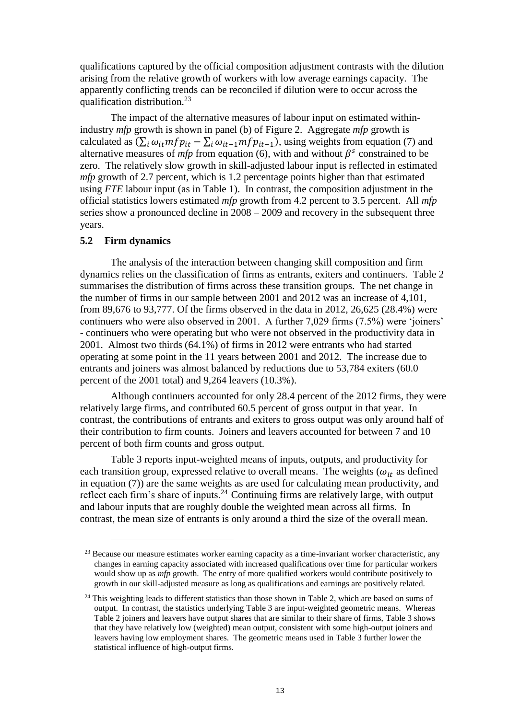qualifications captured by the official composition adjustment contrasts with the dilution arising from the relative growth of workers with low average earnings capacity. The apparently conflicting trends can be reconciled if dilution were to occur across the qualification distribution.<sup>23</sup>

The impact of the alternative measures of labour input on estimated withinindustry *mfp* growth is shown in panel (b) of [Figure 2.](#page-33-0) Aggregate *mfp* growth is calculated as  $(\sum_i \omega_{it} m f p_{it} - \sum_i \omega_{it-1} m f p_{it-1})$ , using weights from equation [\(7\)](#page-9-2) and alternative measures of *mfp* from equation [\(6\)](#page-9-1), with and without  $\beta^s$  constrained to be zero. The relatively slow growth in skill-adjusted labour input is reflected in estimated *mfp* growth of 2.7 percent, which is 1.2 percentage points higher than that estimated using *FTE* labour input (as in [Table 1\)](#page-26-0). In contrast, the composition adjustment in the official statistics lowers estimated *mfp* growth from 4.2 percent to 3.5 percent. All *mfp* series show a pronounced decline in 2008 – 2009 and recovery in the subsequent three years.

## **5.2 Firm dynamics**

The analysis of the interaction between changing skill composition and firm dynamics relies on the classification of firms as entrants, exiters and continuers. [Table 2](#page-27-0) summarises the distribution of firms across these transition groups. The net change in the number of firms in our sample between 2001 and 2012 was an increase of 4,101, from 89,676 to 93,777. Of the firms observed in the data in 2012, 26,625 (28.4%) were continuers who were also observed in 2001. A further 7,029 firms (7.5%) were 'joiners' - continuers who were operating but who were not observed in the productivity data in 2001. Almost two thirds (64.1%) of firms in 2012 were entrants who had started operating at some point in the 11 years between 2001 and 2012. The increase due to entrants and joiners was almost balanced by reductions due to 53,784 exiters (60.0 percent of the 2001 total) and 9,264 leavers (10.3%).

Although continuers accounted for only 28.4 percent of the 2012 firms, they were relatively large firms, and contributed 60.5 percent of gross output in that year. In contrast, the contributions of entrants and exiters to gross output was only around half of their contribution to firm counts. Joiners and leavers accounted for between 7 and 10 percent of both firm counts and gross output.

[Table 3](#page-27-1) reports input-weighted means of inputs, outputs, and productivity for each transition group, expressed relative to overall means. The weights ( $\omega_{it}$  as defined in equation [\(7\)](#page-9-2)) are the same weights as are used for calculating mean productivity, and reflect each firm's share of inputs.<sup>24</sup> Continuing firms are relatively large, with output and labour inputs that are roughly double the weighted mean across all firms. In contrast, the mean size of entrants is only around a third the size of the overall mean.

<sup>&</sup>lt;sup>23</sup> Because our measure estimates worker earning capacity as a time-invariant worker characteristic, any changes in earning capacity associated with increased qualifications over time for particular workers would show up as *mfp* growth. The entry of more qualified workers would contribute positively to growth in our skill-adjusted measure as long as qualifications and earnings are positively related.

<sup>&</sup>lt;sup>24</sup> This weighting leads to different statistics than those shown in [Table 2,](#page-27-0) which are based on sums of output. In contrast, the statistics underlying [Table 3](#page-27-1) are input-weighted geometric means. Whereas [Table 2](#page-27-0) joiners and leavers have output shares that are similar to their share of firms, [Table 3](#page-27-1) shows that they have relatively low (weighted) mean output, consistent with some high-output joiners and leavers having low employment shares. The geometric means used i[n Table 3](#page-27-1) further lower the statistical influence of high-output firms.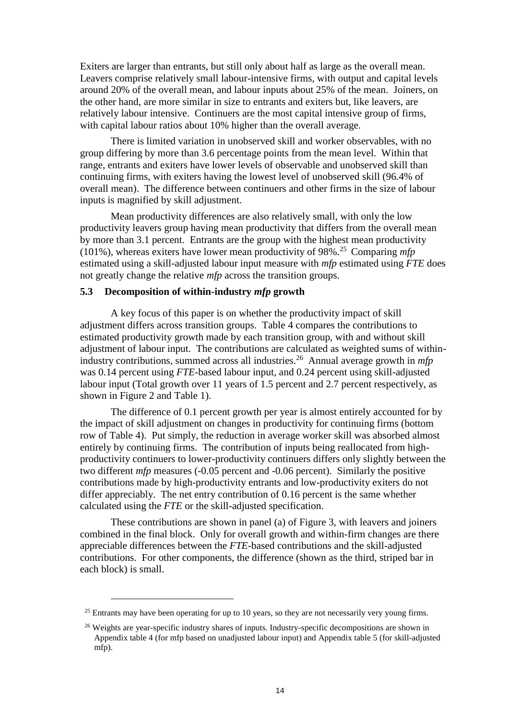Exiters are larger than entrants, but still only about half as large as the overall mean. Leavers comprise relatively small labour-intensive firms, with output and capital levels around 20% of the overall mean, and labour inputs about 25% of the mean. Joiners, on the other hand, are more similar in size to entrants and exiters but, like leavers, are relatively labour intensive. Continuers are the most capital intensive group of firms, with capital labour ratios about 10% higher than the overall average.

There is limited variation in unobserved skill and worker observables, with no group differing by more than 3.6 percentage points from the mean level. Within that range, entrants and exiters have lower levels of observable and unobserved skill than continuing firms, with exiters having the lowest level of unobserved skill (96.4% of overall mean). The difference between continuers and other firms in the size of labour inputs is magnified by skill adjustment.

Mean productivity differences are also relatively small, with only the low productivity leavers group having mean productivity that differs from the overall mean by more than 3.1 percent. Entrants are the group with the highest mean productivity (101%), whereas exiters have lower mean productivity of 98%.<sup>25</sup> Comparing *mfp* estimated using a skill-adjusted labour input measure with *mfp* estimated using *FTE* does not greatly change the relative *mfp* across the transition groups.

### **5.3 Decomposition of within-industry** *mfp* **growth**

 $\overline{a}$ 

A key focus of this paper is on whether the productivity impact of skill adjustment differs across transition groups. [Table 4](#page-28-0) compares the contributions to estimated productivity growth made by each transition group, with and without skill adjustment of labour input. The contributions are calculated as weighted sums of withinindustry contributions, summed across all industries.<sup>26</sup> Annual average growth in *mfp* was 0.14 percent using *FTE*-based labour input, and 0.24 percent using skill-adjusted labour input (Total growth over 11 years of 1.5 percent and 2.7 percent respectively, as shown in [Figure 2](#page-33-0) and [Table 1\)](#page-26-0).

The difference of 0.1 percent growth per year is almost entirely accounted for by the impact of skill adjustment on changes in productivity for continuing firms (bottom row of [Table 4\)](#page-28-0). Put simply, the reduction in average worker skill was absorbed almost entirely by continuing firms. The contribution of inputs being reallocated from highproductivity continuers to lower-productivity continuers differs only slightly between the two different *mfp* measures (-0.05 percent and -0.06 percent). Similarly the positive contributions made by high-productivity entrants and low-productivity exiters do not differ appreciably. The net entry contribution of 0.16 percent is the same whether calculated using the *FTE* or the skill-adjusted specification.

These contributions are shown in panel (a) of [Figure 3,](#page-34-0) with leavers and joiners combined in the final block. Only for overall growth and within-firm changes are there appreciable differences between the *FTE*-based contributions and the skill-adjusted contributions. For other components, the difference (shown as the third, striped bar in each block) is small.

 $25$  Entrants may have been operating for up to 10 years, so they are not necessarily very young firms.

<sup>&</sup>lt;sup>26</sup> Weights are year-specific industry shares of inputs. Industry-specific decompositions are shown in [Appendix table 4](#page-41-0) (for mfp based on unadjusted labour input) and [Appendix table 5](#page-43-0) (for skill-adjusted mfp).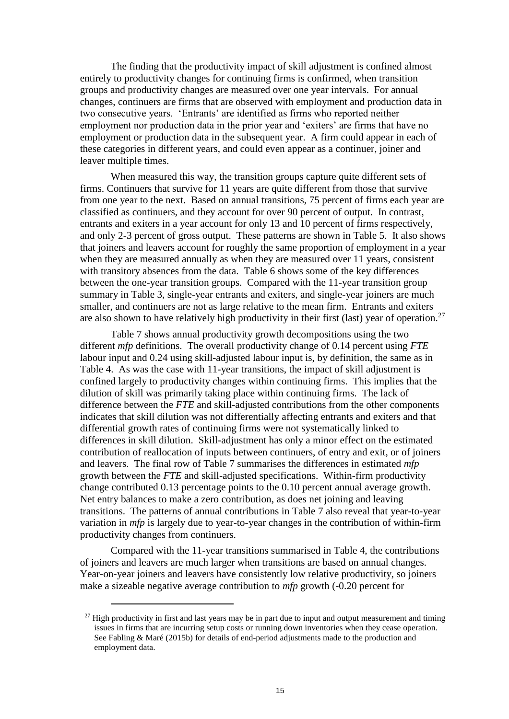The finding that the productivity impact of skill adjustment is confined almost entirely to productivity changes for continuing firms is confirmed, when transition groups and productivity changes are measured over one year intervals. For annual changes, continuers are firms that are observed with employment and production data in two consecutive years. 'Entrants' are identified as firms who reported neither employment nor production data in the prior year and 'exiters' are firms that have no employment or production data in the subsequent year. A firm could appear in each of these categories in different years, and could even appear as a continuer, joiner and leaver multiple times.

When measured this way, the transition groups capture quite different sets of firms. Continuers that survive for 11 years are quite different from those that survive from one year to the next. Based on annual transitions, 75 percent of firms each year are classified as continuers, and they account for over 90 percent of output. In contrast, entrants and exiters in a year account for only 13 and 10 percent of firms respectively, and only 2-3 percent of gross output. These patterns are shown in [Table 5.](#page-28-1) It also shows that joiners and leavers account for roughly the same proportion of employment in a year when they are measured annually as when they are measured over 11 years, consistent with transitory absences from the data. [Table 6](#page-29-0) shows some of the key differences between the one-year transition groups. Compared with the 11-year transition group summary in [Table 3,](#page-27-1) single-year entrants and exiters, and single-year joiners are much smaller, and continuers are not as large relative to the mean firm. Entrants and exiters are also shown to have relatively high productivity in their first (last) year of operation.<sup>27</sup>

[Table 7](#page-30-0) shows annual productivity growth decompositions using the two different *mfp* definitions. The overall productivity change of 0.14 percent using *FTE* labour input and 0.24 using skill-adjusted labour input is, by definition, the same as in [Table 4.](#page-28-0) As was the case with 11-year transitions, the impact of skill adjustment is confined largely to productivity changes within continuing firms. This implies that the dilution of skill was primarily taking place within continuing firms. The lack of difference between the *FTE* and skill-adjusted contributions from the other components indicates that skill dilution was not differentially affecting entrants and exiters and that differential growth rates of continuing firms were not systematically linked to differences in skill dilution. Skill-adjustment has only a minor effect on the estimated contribution of reallocation of inputs between continuers, of entry and exit, or of joiners and leavers. The final row of [Table 7](#page-30-0) summarises the differences in estimated *mfp* growth between the *FTE* and skill-adjusted specifications. Within-firm productivity change contributed 0.13 percentage points to the 0.10 percent annual average growth. Net entry balances to make a zero contribution, as does net joining and leaving transitions. The patterns of annual contributions in [Table 7](#page-30-0) also reveal that year-to-year variation in *mfp* is largely due to year-to-year changes in the contribution of within-firm productivity changes from continuers.

Compared with the 11-year transitions summarised in [Table 4,](#page-28-0) the contributions of joiners and leavers are much larger when transitions are based on annual changes. Year-on-year joiners and leavers have consistently low relative productivity, so joiners make a sizeable negative average contribution to *mfp* growth (-0.20 percent for

 $\overline{a}$ 

 $27$  High productivity in first and last years may be in part due to input and output measurement and timing issues in firms that are incurring setup costs or running down inventories when they cease operation. See Fabling & Maré (2015b) for details of end-period adjustments made to the production and employment data.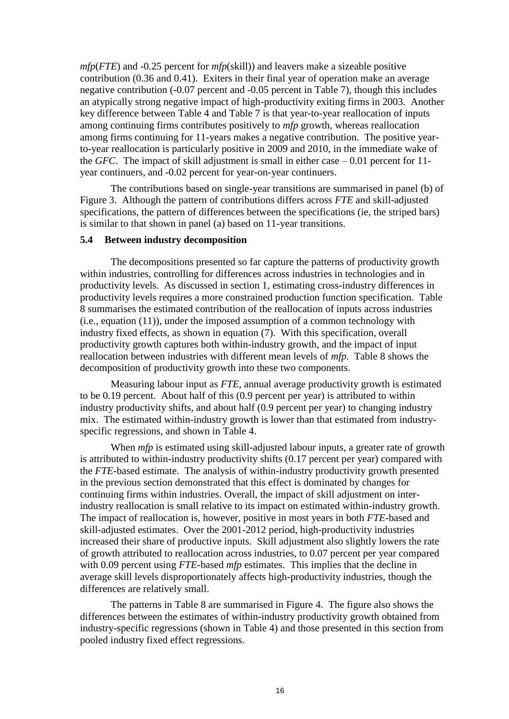*mfp*(*FTE*) and -0.25 percent for *mfp*(skill)) and leavers make a sizeable positive contribution (0.36 and 0.41). Exiters in their final year of operation make an average negative contribution (-0.07 percent and -0.05 percent in [Table 7\)](#page-30-0), though this includes an atypically strong negative impact of high-productivity exiting firms in 2003. Another key difference between [Table 4](#page-28-0) and [Table 7](#page-30-0) is that year-to-year reallocation of inputs among continuing firms contributes positively to *mfp* growth, whereas reallocation among firms continuing for 11-years makes a negative contribution. The positive yearto-year reallocation is particularly positive in 2009 and 2010, in the immediate wake of the *GFC*. The impact of skill adjustment is small in either case – 0.01 percent for 11 year continuers, and -0.02 percent for year-on-year continuers.

The contributions based on single-year transitions are summarised in panel (b) of [Figure 3.](#page-34-0) Although the pattern of contributions differs across *FTE* and skill-adjusted specifications, the pattern of differences between the specifications (ie, the striped bars) is similar to that shown in panel (a) based on 11-year transitions.

## **5.4 Between industry decomposition**

The decompositions presented so far capture the patterns of productivity growth within industries, controlling for differences across industries in technologies and in productivity levels. As discussed in section [1,](#page-5-0) estimating cross-industry differences in productivity levels requires a more constrained production function specification. [Table](#page-31-0)  [8](#page-31-0) summarises the estimated contribution of the reallocation of inputs across industries (i.e., equation [\(11\)](#page-12-0)), under the imposed assumption of a common technology with industry fixed effects, as shown in equation [\(7\)](#page-9-2). With this specification, overall productivity growth captures both within-industry growth, and the impact of input reallocation between industries with different mean levels of *mfp*. [Table 8](#page-31-0) shows the decomposition of productivity growth into these two components.

Measuring labour input as *FTE*, annual average productivity growth is estimated to be 0.19 percent. About half of this (0.9 percent per year) is attributed to within industry productivity shifts, and about half (0.9 percent per year) to changing industry mix. The estimated within-industry growth is lower than that estimated from industryspecific regressions, and shown in [Table 4.](#page-28-0)

When *mfp* is estimated using skill-adjusted labour inputs, a greater rate of growth is attributed to within-industry productivity shifts (0.17 percent per year) compared with the *FTE*-based estimate. The analysis of within-industry productivity growth presented in the previous section demonstrated that this effect is dominated by changes for continuing firms within industries. Overall, the impact of skill adjustment on interindustry reallocation is small relative to its impact on estimated within-industry growth. The impact of reallocation is, however, positive in most years in both *FTE*-based and skill-adjusted estimates. Over the 2001-2012 period, high-productivity industries increased their share of productive inputs. Skill adjustment also slightly lowers the rate of growth attributed to reallocation across industries, to 0.07 percent per year compared with 0.09 percent using *FTE*-based *mfp* estimates. This implies that the decline in average skill levels disproportionately affects high-productivity industries, though the differences are relatively small.

The patterns in [Table 8](#page-31-0) are summarised in [Figure 4.](#page-35-0) The figure also shows the differences between the estimates of within-industry productivity growth obtained from industry-specific regressions (shown in [Table 4\)](#page-28-0) and those presented in this section from pooled industry fixed effect regressions.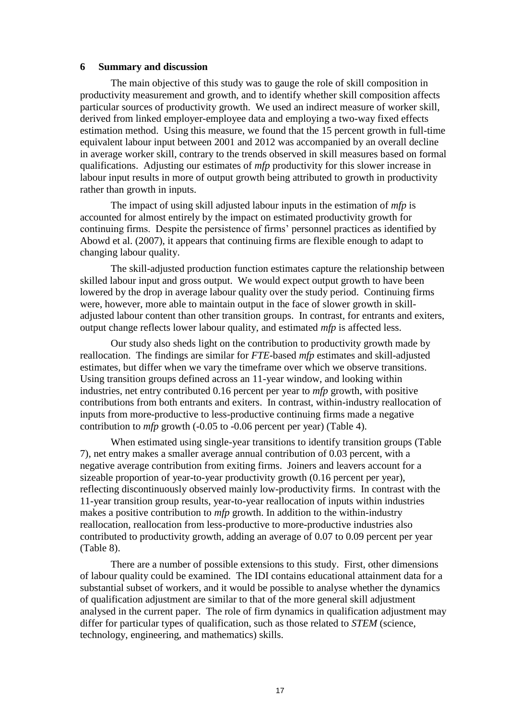### <span id="page-21-0"></span>**6 Summary and discussion**

The main objective of this study was to gauge the role of skill composition in productivity measurement and growth, and to identify whether skill composition affects particular sources of productivity growth. We used an indirect measure of worker skill, derived from linked employer-employee data and employing a two-way fixed effects estimation method. Using this measure, we found that the 15 percent growth in full-time equivalent labour input between 2001 and 2012 was accompanied by an overall decline in average worker skill, contrary to the trends observed in skill measures based on formal qualifications. Adjusting our estimates of *mfp* productivity for this slower increase in labour input results in more of output growth being attributed to growth in productivity rather than growth in inputs.

The impact of using skill adjusted labour inputs in the estimation of *mfp* is accounted for almost entirely by the impact on estimated productivity growth for continuing firms. Despite the persistence of firms' personnel practices as identified by Abowd et al. (2007), it appears that continuing firms are flexible enough to adapt to changing labour quality.

The skill-adjusted production function estimates capture the relationship between skilled labour input and gross output. We would expect output growth to have been lowered by the drop in average labour quality over the study period. Continuing firms were, however, more able to maintain output in the face of slower growth in skilladjusted labour content than other transition groups. In contrast, for entrants and exiters, output change reflects lower labour quality, and estimated *mfp* is affected less.

Our study also sheds light on the contribution to productivity growth made by reallocation. The findings are similar for *FTE*-based *mfp* estimates and skill-adjusted estimates, but differ when we vary the timeframe over which we observe transitions. Using transition groups defined across an 11-year window, and looking within industries, net entry contributed 0.16 percent per year to *mfp* growth, with positive contributions from both entrants and exiters. In contrast, within-industry reallocation of inputs from more-productive to less-productive continuing firms made a negative contribution to *mfp* growth (-0.05 to -0.06 percent per year) [\(Table 4\)](#page-28-0).

When estimated using single-year transitions to identify transition groups [\(Table](#page-30-0)  [7\)](#page-30-0), net entry makes a smaller average annual contribution of 0.03 percent, with a negative average contribution from exiting firms. Joiners and leavers account for a sizeable proportion of year-to-year productivity growth (0.16 percent per year), reflecting discontinuously observed mainly low-productivity firms. In contrast with the 11-year transition group results, year-to-year reallocation of inputs within industries makes a positive contribution to *mfp* growth. In addition to the within-industry reallocation, reallocation from less-productive to more-productive industries also contributed to productivity growth, adding an average of 0.07 to 0.09 percent per year [\(Table 8\)](#page-31-0).

There are a number of possible extensions to this study. First, other dimensions of labour quality could be examined. The IDI contains educational attainment data for a substantial subset of workers, and it would be possible to analyse whether the dynamics of qualification adjustment are similar to that of the more general skill adjustment analysed in the current paper. The role of firm dynamics in qualification adjustment may differ for particular types of qualification, such as those related to *STEM* (science, technology, engineering, and mathematics) skills.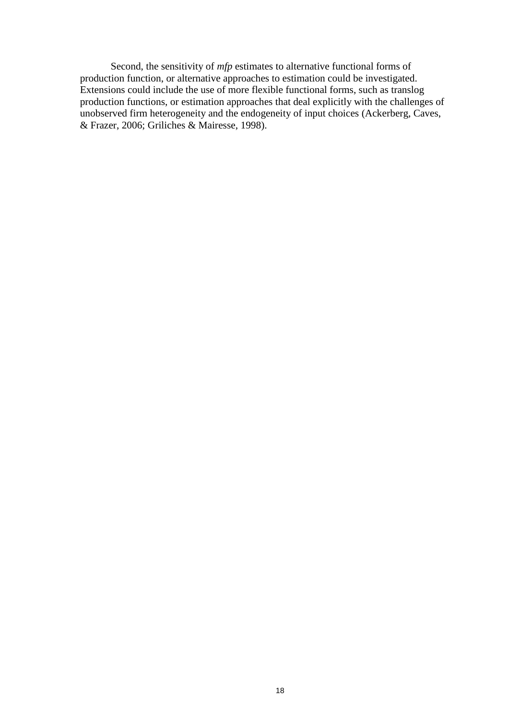Second, the sensitivity of *mfp* estimates to alternative functional forms of production function, or alternative approaches to estimation could be investigated. Extensions could include the use of more flexible functional forms, such as translog production functions, or estimation approaches that deal explicitly with the challenges of unobserved firm heterogeneity and the endogeneity of input choices (Ackerberg, Caves, & Frazer, 2006; Griliches & Mairesse, 1998).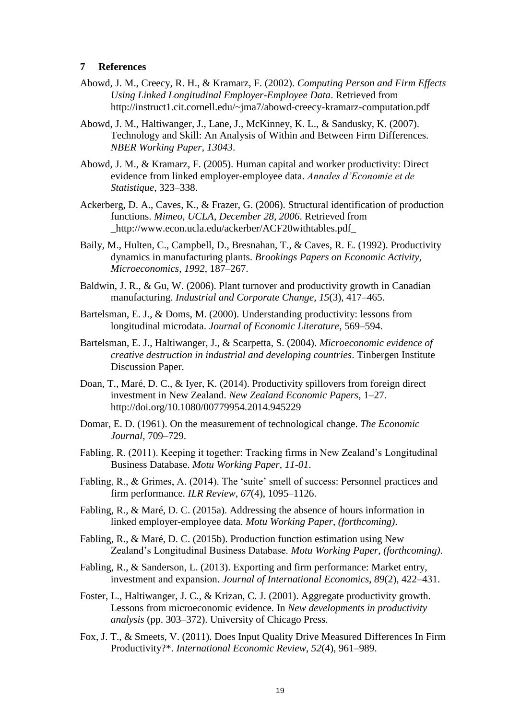### **7 References**

- Abowd, J. M., Creecy, R. H., & Kramarz, F. (2002). *Computing Person and Firm Effects Using Linked Longitudinal Employer-Employee Data*. Retrieved from http://instruct1.cit.cornell.edu/~jma7/abowd-creecy-kramarz-computation.pdf
- Abowd, J. M., Haltiwanger, J., Lane, J., McKinney, K. L., & Sandusky, K. (2007). Technology and Skill: An Analysis of Within and Between Firm Differences. *NBER Working Paper*, *13043*.
- Abowd, J. M., & Kramarz, F. (2005). Human capital and worker productivity: Direct evidence from linked employer-employee data. *Annales d'Economie et de Statistique*, 323–338.
- Ackerberg, D. A., Caves, K., & Frazer, G. (2006). Structural identification of production functions. *Mimeo, UCLA*, *December 28, 2006*. Retrieved from \_http://www.econ.ucla.edu/ackerber/ACF20withtables.pdf\_
- Baily, M., Hulten, C., Campbell, D., Bresnahan, T., & Caves, R. E. (1992). Productivity dynamics in manufacturing plants. *Brookings Papers on Economic Activity, Microeconomics*, *1992*, 187–267.
- Baldwin, J. R., & Gu, W. (2006). Plant turnover and productivity growth in Canadian manufacturing. *Industrial and Corporate Change*, *15*(3), 417–465.
- Bartelsman, E. J., & Doms, M. (2000). Understanding productivity: lessons from longitudinal microdata. *Journal of Economic Literature*, 569–594.
- Bartelsman, E. J., Haltiwanger, J., & Scarpetta, S. (2004). *Microeconomic evidence of creative destruction in industrial and developing countries*. Tinbergen Institute Discussion Paper.
- Doan, T., Maré, D. C., & Iyer, K. (2014). Productivity spillovers from foreign direct investment in New Zealand. *New Zealand Economic Papers*, 1–27. http://doi.org/10.1080/00779954.2014.945229
- Domar, E. D. (1961). On the measurement of technological change. *The Economic Journal*, 709–729.
- Fabling, R. (2011). Keeping it together: Tracking firms in New Zealand's Longitudinal Business Database. *Motu Working Paper*, *11-01*.
- Fabling, R., & Grimes, A. (2014). The 'suite' smell of success: Personnel practices and firm performance. *ILR Review*, *67*(4), 1095–1126.
- Fabling, R., & Maré, D. C. (2015a). Addressing the absence of hours information in linked employer-employee data. *Motu Working Paper*, *(forthcoming)*.
- Fabling, R., & Maré, D. C. (2015b). Production function estimation using New Zealand's Longitudinal Business Database. *Motu Working Paper*, *(forthcoming)*.
- Fabling, R., & Sanderson, L. (2013). Exporting and firm performance: Market entry, investment and expansion. *Journal of International Economics*, *89*(2), 422–431.
- Foster, L., Haltiwanger, J. C., & Krizan, C. J. (2001). Aggregate productivity growth. Lessons from microeconomic evidence. In *New developments in productivity analysis* (pp. 303–372). University of Chicago Press.
- Fox, J. T., & Smeets, V. (2011). Does Input Quality Drive Measured Differences In Firm Productivity?\*. *International Economic Review*, *52*(4), 961–989.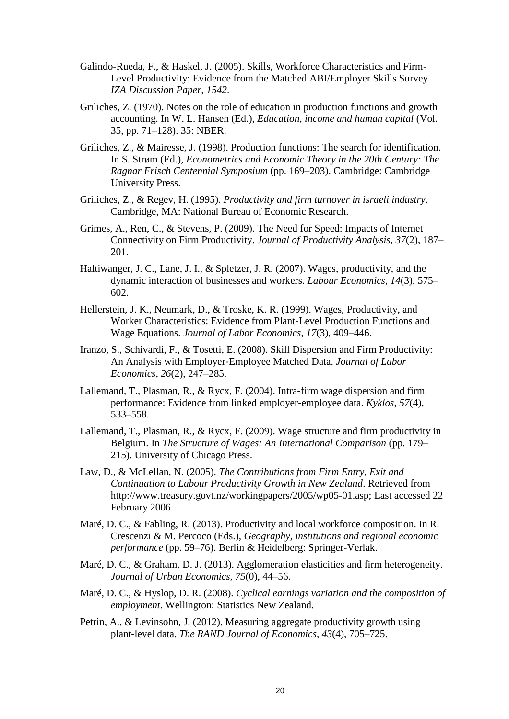- Galindo-Rueda, F., & Haskel, J. (2005). Skills, Workforce Characteristics and Firm-Level Productivity: Evidence from the Matched ABI/Employer Skills Survey. *IZA Discussion Paper*, *1542*.
- Griliches, Z. (1970). Notes on the role of education in production functions and growth accounting. In W. L. Hansen (Ed.), *Education, income and human capital* (Vol. 35, pp. 71–128). 35: NBER.
- Griliches, Z., & Mairesse, J. (1998). Production functions: The search for identification. In S. Strøm (Ed.), *Econometrics and Economic Theory in the 20th Century: The Ragnar Frisch Centennial Symposium* (pp. 169–203). Cambridge: Cambridge University Press.
- Griliches, Z., & Regev, H. (1995). *Productivity and firm turnover in israeli industry*. Cambridge, MA: National Bureau of Economic Research.
- Grimes, A., Ren, C., & Stevens, P. (2009). The Need for Speed: Impacts of Internet Connectivity on Firm Productivity. *Journal of Productivity Analysis*, *37*(2), 187– 201.
- Haltiwanger, J. C., Lane, J. I., & Spletzer, J. R. (2007). Wages, productivity, and the dynamic interaction of businesses and workers. *Labour Economics*, *14*(3), 575– 602.
- Hellerstein, J. K., Neumark, D., & Troske, K. R. (1999). Wages, Productivity, and Worker Characteristics: Evidence from Plant-Level Production Functions and Wage Equations. *Journal of Labor Economics*, *17*(3), 409–446.
- Iranzo, S., Schivardi, F., & Tosetti, E. (2008). Skill Dispersion and Firm Productivity: An Analysis with Employer‐Employee Matched Data. *Journal of Labor Economics*, *26*(2), 247–285.
- Lallemand, T., Plasman, R., & Rycx, F. (2004). Intra-firm wage dispersion and firm performance: Evidence from linked employer‐employee data. *Kyklos*, *57*(4), 533–558.
- Lallemand, T., Plasman, R., & Rycx, F. (2009). Wage structure and firm productivity in Belgium. In *The Structure of Wages: An International Comparison* (pp. 179– 215). University of Chicago Press.
- Law, D., & McLellan, N. (2005). *The Contributions from Firm Entry, Exit and Continuation to Labour Productivity Growth in New Zealand*. Retrieved from http://www.treasury.govt.nz/workingpapers/2005/wp05-01.asp; Last accessed 22 February 2006
- Maré, D. C., & Fabling, R. (2013). Productivity and local workforce composition. In R. Crescenzi & M. Percoco (Eds.), *Geography, institutions and regional economic performance* (pp. 59–76). Berlin & Heidelberg: Springer-Verlak.
- Maré, D. C., & Graham, D. J. (2013). Agglomeration elasticities and firm heterogeneity. *Journal of Urban Economics*, *75*(0), 44–56.
- Maré, D. C., & Hyslop, D. R. (2008). *Cyclical earnings variation and the composition of employment*. Wellington: Statistics New Zealand.
- Petrin, A., & Levinsohn, J. (2012). Measuring aggregate productivity growth using plant‐level data. *The RAND Journal of Economics*, *43*(4), 705–725.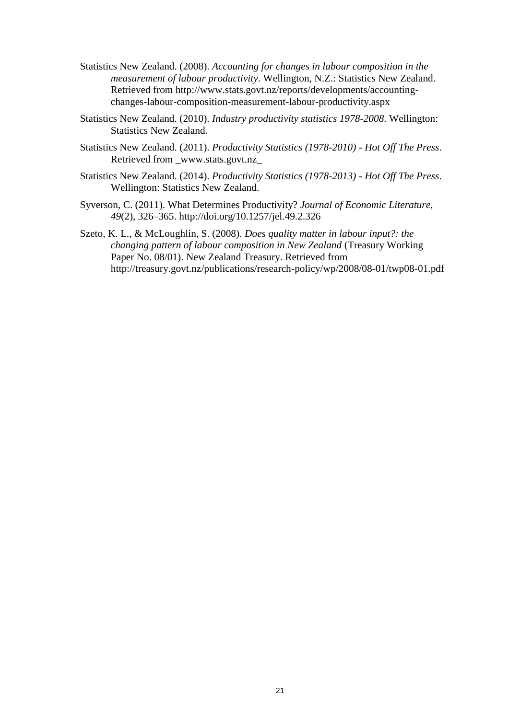- Statistics New Zealand. (2008). *Accounting for changes in labour composition in the measurement of labour productivity*. Wellington, N.Z.: Statistics New Zealand. Retrieved from http://www.stats.govt.nz/reports/developments/accountingchanges-labour-composition-measurement-labour-productivity.aspx
- Statistics New Zealand. (2010). *Industry productivity statistics 1978-2008*. Wellington: Statistics New Zealand.
- Statistics New Zealand. (2011). *Productivity Statistics (1978-2010) - Hot Off The Press*. Retrieved from \_www.stats.govt.nz\_
- Statistics New Zealand. (2014). *Productivity Statistics (1978-2013) - Hot Off The Press*. Wellington: Statistics New Zealand.
- Syverson, C. (2011). What Determines Productivity? *Journal of Economic Literature*, *49*(2), 326–365. http://doi.org/10.1257/jel.49.2.326
- Szeto, K. L., & McLoughlin, S. (2008). *Does quality matter in labour input?: the changing pattern of labour composition in New Zealand* (Treasury Working Paper No. 08/01). New Zealand Treasury. Retrieved from http://treasury.govt.nz/publications/research-policy/wp/2008/08-01/twp08-01.pdf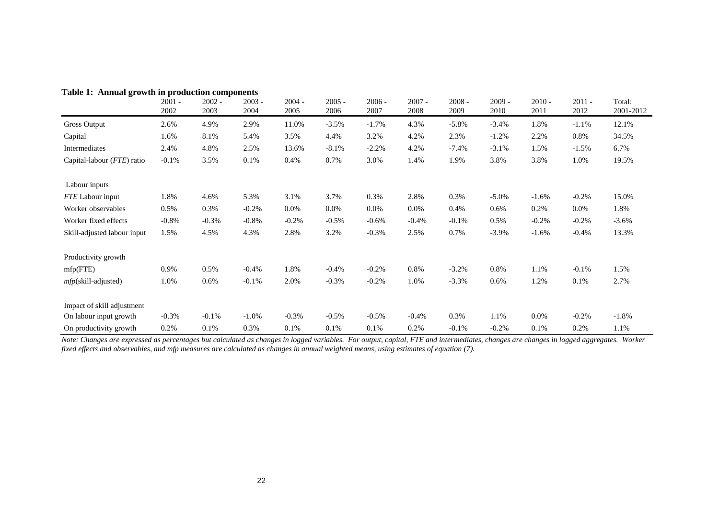| Table 1: Annual growth in production components |                  |                  |                  |                  |                  |                  |                  |                  |                  |                  |                  |                     |
|-------------------------------------------------|------------------|------------------|------------------|------------------|------------------|------------------|------------------|------------------|------------------|------------------|------------------|---------------------|
|                                                 | $2001 -$<br>2002 | $2002 -$<br>2003 | $2003 -$<br>2004 | $2004 -$<br>2005 | $2005 -$<br>2006 | $2006 -$<br>2007 | $2007 -$<br>2008 | $2008 -$<br>2009 | $2009 -$<br>2010 | $2010 -$<br>2011 | $2011 -$<br>2012 | Total:<br>2001-2012 |
| Gross Output                                    | 2.6%             | 4.9%             | 2.9%             | 11.0%            | $-3.5%$          | $-1.7%$          | 4.3%             | $-5.8\%$         | $-3.4%$          | 1.8%             | $-1.1%$          | 12.1%               |
| Capital                                         | 1.6%             | 8.1%             | 5.4%             | 3.5%             | 4.4%             | 3.2%             | 4.2%             | 2.3%             | $-1.2%$          | 2.2%             | 0.8%             | 34.5%               |
| Intermediates                                   | 2.4%             | 4.8%             | 2.5%             | 13.6%            | $-8.1\%$         | $-2.2%$          | 4.2%             | $-7.4%$          | $-3.1\%$         | 1.5%             | $-1.5%$          | 6.7%                |
| Capital-labour (FTE) ratio                      | $-0.1%$          | 3.5%             | 0.1%             | 0.4%             | 0.7%             | 3.0%             | 1.4%             | 1.9%             | 3.8%             | 3.8%             | 1.0%             | 19.5%               |
| Labour inputs                                   |                  |                  |                  |                  |                  |                  |                  |                  |                  |                  |                  |                     |
| FTE Labour input                                | 1.8%             | 4.6%             | 5.3%             | 3.1%             | 3.7%             | 0.3%             | 2.8%             | 0.3%             | $-5.0\%$         | $-1.6%$          | $-0.2%$          | 15.0%               |
| Worker observables                              | 0.5%             | 0.3%             | $-0.2\%$         | $0.0\%$          | 0.0%             | $0.0\%$          | 0.0%             | $0.4\%$          | 0.6%             | 0.2%             | $0.0\%$          | 1.8%                |
| Worker fixed effects                            | $-0.8%$          | $-0.3%$          | $-0.8%$          | $-0.2%$          | $-0.5\%$         | $-0.6%$          | $-0.4%$          | $-0.1%$          | 0.5%             | $-0.2%$          | $-0.2%$          | $-3.6%$             |
| Skill-adjusted labour input                     | 1.5%             | 4.5%             | 4.3%             | 2.8%             | 3.2%             | $-0.3%$          | 2.5%             | 0.7%             | $-3.9\%$         | $-1.6%$          | $-0.4%$          | 13.3%               |
| Productivity growth                             |                  |                  |                  |                  |                  |                  |                  |                  |                  |                  |                  |                     |
| mfp(FTE)                                        | 0.9%             | 0.5%             | $-0.4%$          | 1.8%             | $-0.4%$          | $-0.2%$          | 0.8%             | $-3.2%$          | 0.8%             | 1.1%             | $-0.1%$          | 1.5%                |
| mfp(skill-adjusted)                             | 1.0%             | 0.6%             | $-0.1%$          | 2.0%             | $-0.3\%$         | $-0.2%$          | 1.0%             | $-3.3%$          | 0.6%             | 1.2%             | 0.1%             | 2.7%                |
| Impact of skill adjustment                      |                  |                  |                  |                  |                  |                  |                  |                  |                  |                  |                  |                     |
| On labour input growth                          | $-0.3%$          | $-0.1%$          | $-1.0\%$         | $-0.3\%$         | $-0.5\%$         | $-0.5%$          | $-0.4%$          | 0.3%             | 1.1%             | 0.0%             | $-0.2%$          | $-1.8%$             |
| On productivity growth                          | 0.2%             | 0.1%             | 0.3%             | 0.1%             | 0.1%             | 0.1%             | 0.2%             | $-0.1%$          | $-0.2%$          | 0.1%             | 0.2%             | 1.1%                |

<span id="page-26-0"></span>*Note: Changes are expressed as percentages but calculated as changes in logged variables. For output, capital, FTE and intermediates, changes are changes in logged aggregates. Worker fixed effects and observables, and mfp measures are calculated as changes in annual weighted means, using estimates of equation [\(7\)](#page-9-3).*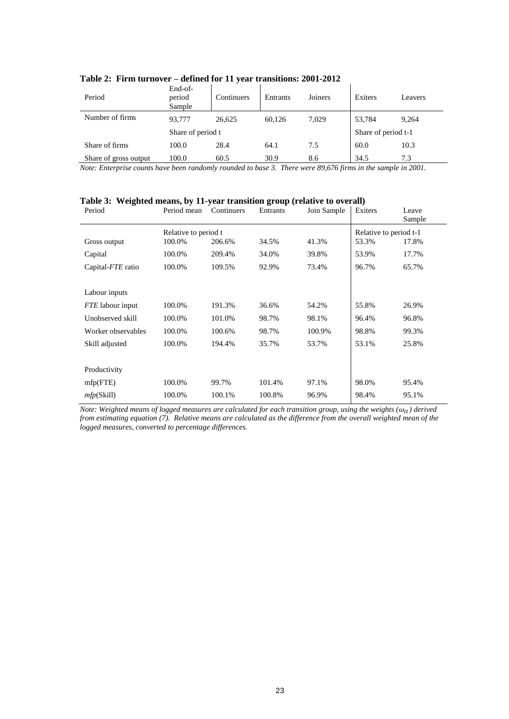| Period                | End-of-<br>period<br>Sample | Continuers | Entrants            | Joiners | Exiters | Leavers |
|-----------------------|-----------------------------|------------|---------------------|---------|---------|---------|
| Number of firms       | 93,777                      | 26.625     | 60.126              | 7.029   | 53.784  | 9.264   |
|                       | Share of period t           |            | Share of period t-1 |         |         |         |
| Share of firms        | 100.0                       | 28.4       | 64.1                | 7.5     | 60.0    | 10.3    |
| Share of gross output | 100.0                       | 60.5       | 30.9                | 8.6     | 34.5    | 7.3     |
|                       |                             |            |                     |         |         |         |

<span id="page-27-0"></span>**Table 2: Firm turnover – defined for 11 year transitions: 2001-2012**

*Note: Enterprise counts have been randomly rounded to base 3. There were 89,676 firms in the sample in 2001.*

<span id="page-27-1"></span>**Table 3: Weighted means, by 11-year transition group (relative to overall)**

| Period mean | Continuers | Entrants             | Join Sample | Exiters | Leave<br>Sample        |
|-------------|------------|----------------------|-------------|---------|------------------------|
|             |            |                      |             |         |                        |
| 100.0%      | 206.6%     | 34.5%                | 41.3%       | 53.3%   | 17.8%                  |
| 100.0%      | 209.4%     | 34.0%                | 39.8%       | 53.9%   | 17.7%                  |
| 100.0%      | 109.5%     | 92.9%                | 73.4%       | 96.7%   | 65.7%                  |
|             |            |                      |             |         |                        |
|             |            |                      |             |         |                        |
| 100.0%      | 191.3%     | 36.6%                | 54.2%       | 55.8%   | 26.9%                  |
| 100.0%      | 101.0%     | 98.7%                | 98.1%       | 96.4%   | 96.8%                  |
| 100.0%      | 100.6%     | 98.7%                | 100.9%      | 98.8%   | 99.3%                  |
| 100.0%      | 194.4%     | 35.7%                | 53.7%       | 53.1%   | 25.8%                  |
|             |            |                      |             |         |                        |
|             |            |                      |             |         |                        |
| 100.0%      | 99.7%      | 101.4%               | 97.1%       | 98.0%   | 95.4%                  |
| 100.0%      | 100.1%     | 100.8%               | 96.9%       | 98.4%   | 95.1%                  |
|             |            | Relative to period t |             |         | Relative to period t-1 |

*Note: Weighted means of logged measures are calculated for each transition group, using the weights (* $\omega_{it}$ *) derived from estimating equation [\(7\)](#page-9-2). Relative means are calculated as the difference from the overall weighted mean of the logged measures, converted to percentage differences.*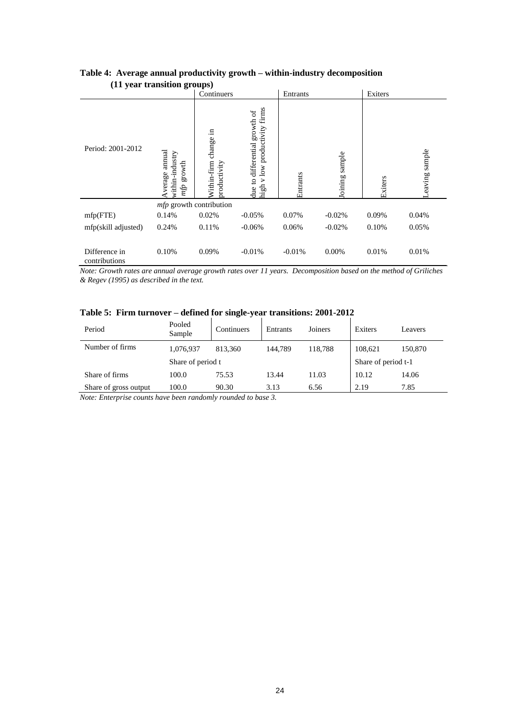|                                | (11 year transition groups)                          |                                          |                                                                   |          |                   |         |                  |  |
|--------------------------------|------------------------------------------------------|------------------------------------------|-------------------------------------------------------------------|----------|-------------------|---------|------------------|--|
|                                |                                                      | Continuers                               |                                                                   | Entrants |                   | Exiters |                  |  |
| Period: 2001-2012              | annual<br>within-industry<br>growth<br>Average<br>пф | change in<br>Within-firm<br>oroductivity | v low productivity firms<br>due to differential growth of<br>high | Entrants | sample<br>Joining | Exiters | sample<br>eaving |  |
|                                |                                                      | mfp growth contribution                  |                                                                   |          |                   |         |                  |  |
| mfp(FTE)                       | 0.14%                                                | 0.02%                                    | $-0.05%$                                                          | 0.07%    | $-0.02%$          | 0.09%   | 0.04%            |  |
| mfp(skill adjusted)            | 0.24%                                                | 0.11%                                    | $-0.06%$                                                          | 0.06%    | $-0.02%$          | 0.10%   | 0.05%            |  |
| Difference in<br>contributions | 0.10%                                                | 0.09%                                    | $-0.01%$                                                          | $-0.01%$ | 0.00%             | 0.01%   | 0.01%            |  |

### <span id="page-28-0"></span>**Table 4: Average annual productivity growth – within-industry decomposition (11 year transition groups)**

*Note: Growth rates are annual average growth rates over 11 years. Decomposition based on the method of Griliches & Regev (1995) as described in the text.* 

<span id="page-28-1"></span>

|  | Table 5: Firm turnover – defined for single-year transitions: 2001-2012 |  |  |  |
|--|-------------------------------------------------------------------------|--|--|--|
|  |                                                                         |  |  |  |

| Period                | Pooled<br>Sample  | Continuers | Entrants | Joiners             | Exiters | Leavers |
|-----------------------|-------------------|------------|----------|---------------------|---------|---------|
| Number of firms       | 1,076,937         | 813.360    | 144.789  | 118.788             | 108,621 | 150,870 |
|                       | Share of period t |            |          | Share of period t-1 |         |         |
| Share of firms        | 100.0             | 75.53      | 13.44    | 11.03               | 10.12   | 14.06   |
| Share of gross output | 100.0             | 90.30      | 3.13     | 6.56                | 2.19    | 7.85    |

*Note: Enterprise counts have been randomly rounded to base 3.*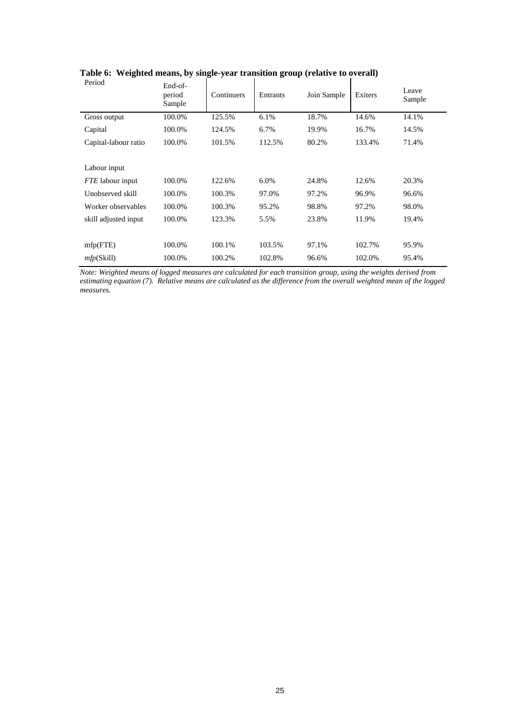| Period                  | End-of-<br>period<br>Sample | Continuers | Entrants | Join Sample | Exiters | Leave<br>Sample |
|-------------------------|-----------------------------|------------|----------|-------------|---------|-----------------|
| Gross output            | 100.0%                      | 125.5%     | 6.1%     | 18.7%       | 14.6%   | 14.1%           |
| Capital                 | 100.0%                      | 124.5%     | 6.7%     | 19.9%       | 16.7%   | 14.5%           |
| Capital-labour ratio    | 100.0%                      | 101.5%     | 112.5%   | 80.2%       | 133.4%  | 71.4%           |
|                         |                             |            |          |             |         |                 |
| Labour input            |                             |            |          |             |         |                 |
| <i>FTE</i> labour input | 100.0%                      | 122.6%     | 6.0%     | 24.8%       | 12.6%   | 20.3%           |
| Unobserved skill        | 100.0%                      | 100.3%     | 97.0%    | 97.2%       | 96.9%   | 96.6%           |
| Worker observables      | 100.0%                      | 100.3%     | 95.2%    | 98.8%       | 97.2%   | 98.0%           |
| skill adjusted input    | 100.0%                      | 123.3%     | 5.5%     | 23.8%       | 11.9%   | 19.4%           |
|                         |                             |            |          |             |         |                 |
| mfp(FTE)                | 100.0%                      | 100.1%     | 103.5%   | 97.1%       | 102.7%  | 95.9%           |
| mfp(Skill)              | 100.0%                      | 100.2%     | 102.8%   | 96.6%       | 102.0%  | 95.4%           |

<span id="page-29-0"></span>**Table 6: Weighted means, by single-year transition group (relative to overall)**

*Note: Weighted means of logged measures are calculated for each transition group, using the weights derived from estimating equation [\(7\)](#page-9-2). Relative means are calculated as the difference from the overall weighted mean of the logged measures.*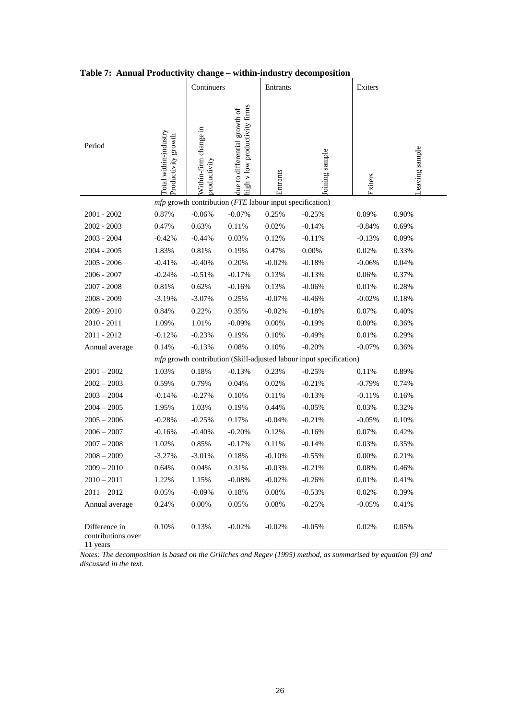|                                                 |                                              | Continuers                            |                                                                | Entrants  |                                                                     | Exiters  |               |
|-------------------------------------------------|----------------------------------------------|---------------------------------------|----------------------------------------------------------------|-----------|---------------------------------------------------------------------|----------|---------------|
| Period                                          | Total within-industry<br>Productivity growth | Within-firm change in<br>oroductivity | high v low productivity firms<br>due to differential growth of | Entrants  | loining sample                                                      | Exiters  | eaving sample |
|                                                 |                                              |                                       | $mfp$ growth contribution ( $FTE$ labour input specification)  |           |                                                                     |          |               |
| $2001 - 2002$                                   | 0.87%                                        | $-0.06%$                              | $-0.07%$                                                       | 0.25%     | $-0.25%$                                                            | 0.09%    | 0.90%         |
| $2002 - 2003$                                   | 0.47%                                        | 0.63%                                 | 0.11%                                                          | 0.02%     | $-0.14%$                                                            | $-0.84%$ | 0.69%         |
| $2003 - 2004$                                   | $-0.42%$                                     | $-0.44%$                              | 0.03%                                                          | 0.12%     | $-0.11%$                                                            | $-0.13%$ | 0.09%         |
| $2004 - 2005$                                   | 1.83%                                        | 0.81%                                 | 0.19%                                                          | 0.47%     | 0.00%                                                               | 0.02%    | 0.33%         |
| $2005 - 2006$                                   | $-0.41%$                                     | $-0.40%$                              | 0.20%                                                          | $-0.02%$  | $-0.18%$                                                            | $-0.06%$ | 0.04%         |
| $2006 - 2007$                                   | $-0.24%$                                     | $-0.51%$                              | $-0.17%$                                                       | 0.13%     | $-0.13%$                                                            | 0.06%    | 0.37%         |
| $2007 - 2008$                                   | 0.81%                                        | 0.62%                                 | $-0.16%$                                                       | 0.13%     | $-0.06%$                                                            | 0.01%    | 0.28%         |
| $2008 - 2009$                                   | $-3.19%$                                     | $-3.07\%$                             | 0.25%                                                          | $-0.07\%$ | $-0.46%$                                                            | $-0.02%$ | 0.18%         |
| $2009 - 2010$                                   | 0.84%                                        | 0.22%                                 | 0.35%                                                          | $-0.02%$  | $-0.18%$                                                            | 0.07%    | 0.40%         |
| $2010 - 2011$                                   | 1.09%                                        | 1.01%                                 | $-0.09%$                                                       | 0.00%     | $-0.19%$                                                            | 0.00%    | 0.36%         |
| 2011 - 2012                                     | $-0.12%$                                     | $-0.23%$                              | 0.19%                                                          | 0.10%     | $-0.49%$                                                            | 0.01%    | 0.29%         |
| Annual average                                  | 0.14%                                        | $-0.13%$                              | 0.08%                                                          | 0.10%     | $-0.20%$                                                            | $-0.07%$ | 0.36%         |
|                                                 |                                              |                                       |                                                                |           | mfp growth contribution (Skill-adjusted labour input specification) |          |               |
| $2001 - 2002$                                   | 1.03%                                        | 0.18%                                 | $-0.13%$                                                       | 0.23%     | $-0.25%$                                                            | 0.11%    | 0.89%         |
| $2002 - 2003$                                   | 0.59%                                        | 0.79%                                 | 0.04%                                                          | 0.02%     | $-0.21%$                                                            | $-0.79%$ | 0.74%         |
| $2003 - 2004$                                   | $-0.14%$                                     | $-0.27%$                              | 0.10%                                                          | 0.11%     | $-0.13%$                                                            | $-0.11%$ | 0.16%         |
| $2004 - 2005$                                   | 1.95%                                        | 1.03%                                 | 0.19%                                                          | 0.44%     | $-0.05%$                                                            | 0.03%    | 0.32%         |
| $2005 - 2006$                                   | $-0.28%$                                     | $-0.25%$                              | $0.17\%$                                                       | $-0.04%$  | $-0.21%$                                                            | $-0.05%$ | 0.10%         |
| $2006 - 2007$                                   | $-0.16%$                                     | $-0.40%$                              | $-0.20%$                                                       | 0.12%     | $-0.16%$                                                            | 0.07%    | 0.42%         |
| $2007 - 2008$                                   | 1.02%                                        | 0.85%                                 | $-0.17%$                                                       | 0.11%     | $-0.14%$                                                            | 0.03%    | 0.35%         |
| $2008 - 2009$                                   | $-3.27%$                                     | $-3.01%$                              | 0.18%                                                          | $-0.10%$  | $-0.55%$                                                            | 0.00%    | 0.21%         |
| $2009 - 2010$                                   | 0.64%                                        | 0.04%                                 | 0.31%                                                          | $-0.03%$  | $-0.21%$                                                            | $0.08\%$ | 0.46%         |
| $2010 - 2011$                                   | 1.22%                                        | 1.15%                                 | $-0.08%$                                                       | $-0.02%$  | $-0.26%$                                                            | 0.01%    | 0.41%         |
| $2011 - 2012$                                   | 0.05%                                        | $-0.09%$                              | 0.18%                                                          | $0.08\%$  | $-0.53%$                                                            | 0.02%    | 0.39%         |
| Annual average                                  | 0.24%                                        | 0.00%                                 | 0.05%                                                          | 0.08%     | $-0.25%$                                                            | $-0.05%$ | 0.41%         |
| Difference in<br>contributions over<br>11 years | 0.10%                                        | 0.13%                                 | $-0.02%$                                                       | $-0.02%$  | $-0.05%$                                                            | 0.02%    | 0.05%         |

#### <span id="page-30-0"></span>**Table 7: Annual Productivity change – within-industry decomposition**

*Notes: The decomposition is based on the Griliches and Regev (1995) method, as summarised by equation [\(9\)](#page-11-0) and discussed in the text.*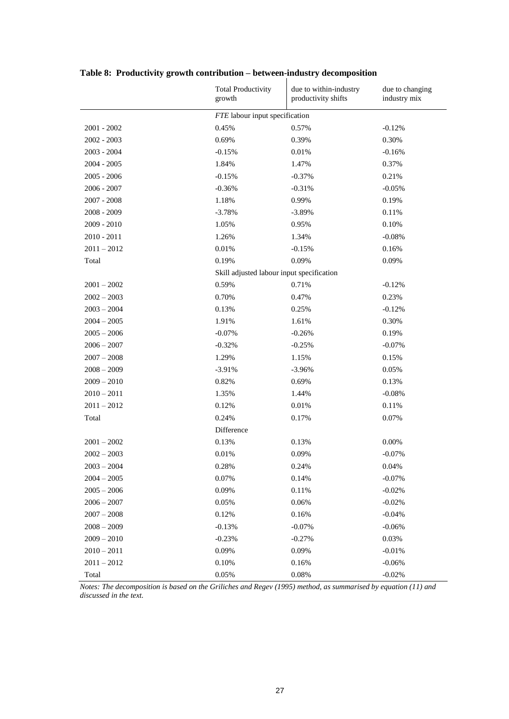|               | <b>Total Productivity</b><br>growth       | due to within-industry<br>productivity shifts | due to changing<br>industry mix |
|---------------|-------------------------------------------|-----------------------------------------------|---------------------------------|
|               | FTE labour input specification            |                                               |                                 |
| $2001 - 2002$ | 0.45%                                     | 0.57%                                         | $-0.12%$                        |
| $2002 - 2003$ | 0.69%                                     | 0.39%                                         | 0.30%                           |
| $2003 - 2004$ | $-0.15%$                                  | 0.01%                                         | $-0.16%$                        |
| $2004 - 2005$ | 1.84%                                     | 1.47%                                         | 0.37%                           |
| $2005 - 2006$ | $-0.15%$                                  | $-0.37%$                                      | 0.21%                           |
| $2006 - 2007$ | $-0.36%$                                  | $-0.31%$                                      | $-0.05%$                        |
| $2007 - 2008$ | 1.18%                                     | 0.99%                                         | 0.19%                           |
| $2008 - 2009$ | $-3.78%$                                  | $-3.89%$                                      | 0.11%                           |
| $2009 - 2010$ | 1.05%                                     | 0.95%                                         | 0.10%                           |
| $2010 - 2011$ | 1.26%                                     | 1.34%                                         | $-0.08%$                        |
| $2011 - 2012$ | 0.01%                                     | $-0.15%$                                      | 0.16%                           |
| Total         | 0.19%                                     | 0.09%                                         | 0.09%                           |
|               | Skill adjusted labour input specification |                                               |                                 |
| $2001 - 2002$ | 0.59%                                     | 0.71%                                         | $-0.12%$                        |
| $2002 - 2003$ | 0.70%                                     | 0.47%                                         | 0.23%                           |
| $2003 - 2004$ | 0.13%                                     | 0.25%                                         | $-0.12%$                        |
| $2004 - 2005$ | 1.91%                                     | 1.61%                                         | 0.30%                           |
| $2005 - 2006$ | $-0.07%$                                  | $-0.26%$                                      | 0.19%                           |
| $2006 - 2007$ | $-0.32%$                                  | $-0.25%$                                      | $-0.07%$                        |
| $2007 - 2008$ | 1.29%                                     | 1.15%                                         | 0.15%                           |
| $2008 - 2009$ | $-3.91%$                                  | $-3.96%$                                      | 0.05%                           |
| $2009 - 2010$ | 0.82%                                     | 0.69%                                         | 0.13%                           |
| $2010 - 2011$ | 1.35%                                     | 1.44%                                         | $-0.08%$                        |
| $2011 - 2012$ | 0.12%                                     | 0.01%                                         | 0.11%                           |
| Total         | 0.24%                                     | 0.17%                                         | 0.07%                           |
|               | Difference                                |                                               |                                 |
| $2001 - 2002$ | 0.13%                                     | 0.13%                                         | 0.00%                           |
| $2002 - 2003$ | 0.01%                                     | 0.09%                                         | $-0.07%$                        |
| $2003 - 2004$ | $0.28\%$                                  | 0.24%                                         | $0.04\%$                        |
| $2004 - 2005$ | 0.07%                                     | 0.14%                                         | $-0.07\%$                       |
| $2005 - 2006$ | 0.09%                                     | 0.11%                                         | $-0.02%$                        |
| $2006 - 2007$ | 0.05%                                     | 0.06%                                         | $-0.02%$                        |
| $2007 - 2008$ | 0.12%                                     | 0.16%                                         | $-0.04%$                        |
| $2008 - 2009$ | $-0.13%$                                  | $-0.07%$                                      | $-0.06%$                        |
| $2009 - 2010$ | $-0.23%$                                  | $-0.27%$                                      | 0.03%                           |
| $2010 - 2011$ | 0.09%                                     | 0.09%                                         | $-0.01%$                        |
| $2011 - 2012$ | 0.10%                                     | 0.16%                                         | $-0.06%$                        |
| Total         | 0.05%                                     | $0.08\%$                                      | $-0.02%$                        |

<span id="page-31-0"></span>**Table 8: Productivity growth contribution – between-industry decomposition**

*Notes: The decomposition is based on the Griliches and Regev (1995) method, as summarised by equation [\(11\)](#page-12-0) and discussed in the text.*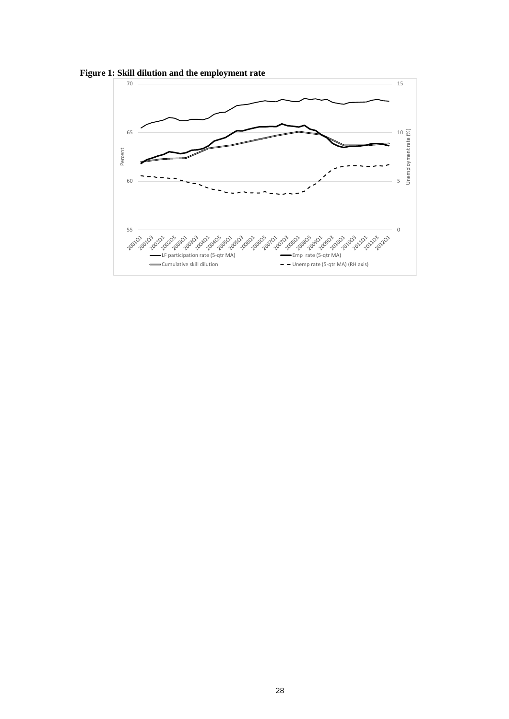<span id="page-32-0"></span>

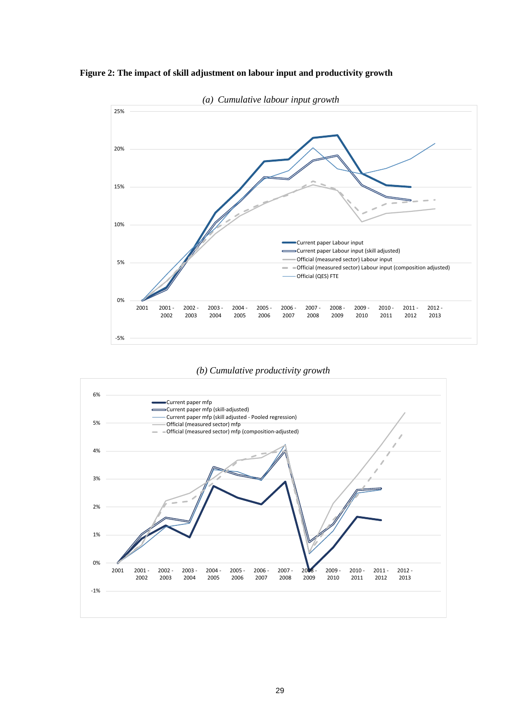<span id="page-33-0"></span>



*(a) Cumulative labour input growth*



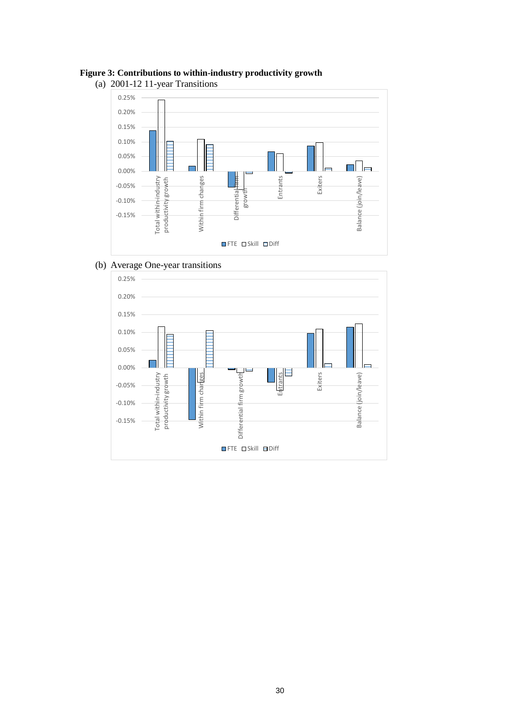

<span id="page-34-0"></span>**Figure 3: Contributions to within-industry productivity growth**

(b) Average One-year transitions

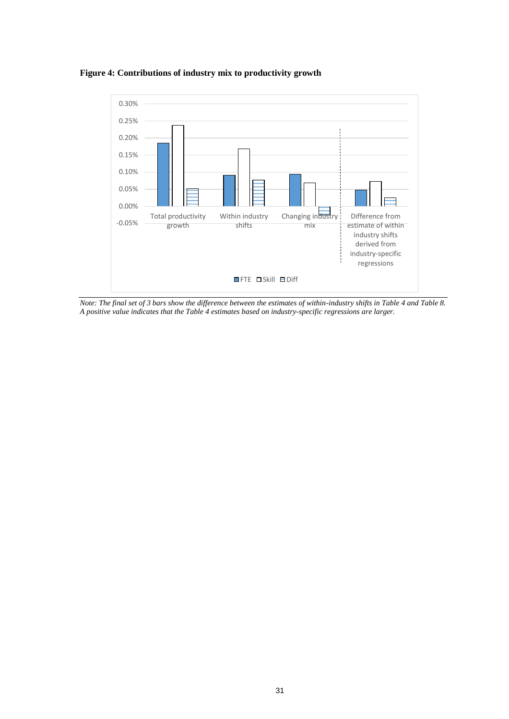

<span id="page-35-0"></span>**Figure 4: Contributions of industry mix to productivity growth**

*Note: The final set of 3 bars show the difference between the estimates of within-industry shifts i[n Table 4](#page-28-0) and [Table 8.](#page-31-0) A positive value indicates that th[e Table 4](#page-28-0) estimates based on industry-specific regressions are larger.*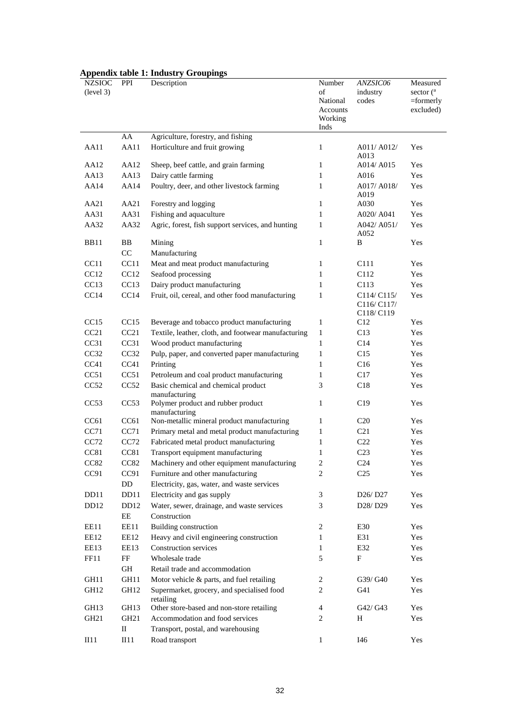|                     |                  | дрения того, ничви у стоирше                            |                                                 |                                                                 |                                                         |
|---------------------|------------------|---------------------------------------------------------|-------------------------------------------------|-----------------------------------------------------------------|---------------------------------------------------------|
| NZSIOC<br>(level 3) | PPI              | Description                                             | Number<br>of<br>National<br>Accounts<br>Working | ANZSIC06<br>industry<br>codes                                   | Measured<br>sector $(^{a}$<br>$=$ formerly<br>excluded) |
|                     |                  |                                                         | Inds                                            |                                                                 |                                                         |
|                     | AA               | Agriculture, forestry, and fishing                      |                                                 |                                                                 |                                                         |
| AA11                | AA11             | Horticulture and fruit growing                          | $\mathbf{1}$                                    | A011/A012/<br>A013                                              | Yes                                                     |
| AA12                | AA12             | Sheep, beef cattle, and grain farming                   | 1                                               | A014/A015                                                       | Yes                                                     |
| AA13                | AA13             | Dairy cattle farming                                    | 1                                               | A016                                                            | Yes                                                     |
| AA14                | AA14             | Poultry, deer, and other livestock farming              | 1                                               | A017/ A018/<br>A019                                             | Yes                                                     |
| AA21                | AA21             | Forestry and logging                                    | 1                                               | A030                                                            | Yes                                                     |
| AA31                | AA31             | Fishing and aquaculture                                 | 1                                               | A020/A041                                                       | Yes                                                     |
| AA32                | AA32             | Agric, forest, fish support services, and hunting       | 1                                               | A042/A051/<br>A052                                              | Yes                                                     |
| <b>BB11</b>         | $_{\rm BB}$      | Mining                                                  | $\mathbf{1}$                                    | B                                                               | Yes                                                     |
|                     | $\rm CC$         | Manufacturing                                           |                                                 |                                                                 |                                                         |
| CC11                | CC11             | Meat and meat product manufacturing                     | 1                                               | C <sub>111</sub>                                                | Yes                                                     |
| CC12                | CC <sub>12</sub> | Seafood processing                                      | 1                                               | C <sub>112</sub>                                                | Yes                                                     |
| CC13                | CC13             | Dairy product manufacturing                             | 1                                               | C113                                                            | Yes                                                     |
| CC14                | CC14             | Fruit, oil, cereal, and other food manufacturing        | 1                                               | C <sub>114</sub> /C <sub>115</sub> /<br>C116/C117/<br>C118/C119 | Yes                                                     |
| CC15                | CC15             | Beverage and tobacco product manufacturing              | 1                                               | C12                                                             | Yes                                                     |
| CC21                | CC21             | Textile, leather, cloth, and footwear manufacturing     | 1                                               | C13                                                             | Yes                                                     |
| CC31                | CC31             | Wood product manufacturing                              | 1                                               | C14                                                             | Yes                                                     |
| CC32                | CC32             | Pulp, paper, and converted paper manufacturing          | 1                                               | C15                                                             | Yes                                                     |
| CC41                | CC41             | Printing                                                | 1                                               | C16                                                             | Yes                                                     |
| CC51                | CC51             | Petroleum and coal product manufacturing                | 1                                               | C17                                                             | Yes                                                     |
| CC52                | CC52             | Basic chemical and chemical product<br>manufacturing    | 3                                               | C18                                                             | Yes                                                     |
| CC53                | CC53             | Polymer product and rubber product<br>manufacturing     | 1                                               | C19                                                             | Yes                                                     |
| CC <sub>61</sub>    | CC61             | Non-metallic mineral product manufacturing              | 1                                               | C <sub>20</sub>                                                 | Yes                                                     |
| CC71                | CC71             | Primary metal and metal product manufacturing           | 1                                               | C <sub>21</sub>                                                 | Yes                                                     |
| CC72                | CC72             | Fabricated metal product manufacturing                  | 1                                               | C <sub>22</sub>                                                 | Yes                                                     |
| CC81                | CC81             | Transport equipment manufacturing                       | $\mathbf{1}$                                    | C <sub>23</sub>                                                 | Yes                                                     |
| CC82                | CC82             | Machinery and other equipment manufacturing             | $\overline{c}$                                  | C <sub>24</sub>                                                 | Yes                                                     |
| CC91                | CC91             | Furniture and other manufacturing                       | 2                                               | C <sub>25</sub>                                                 | Yes                                                     |
|                     | DD               | Electricity, gas, water, and waste services             |                                                 |                                                                 |                                                         |
| DD11                | DD11             | Electricity and gas supply                              | 3                                               | D <sub>26</sub> /D <sub>27</sub>                                | Yes                                                     |
| DD <sub>12</sub>    | DD <sub>12</sub> | Water, sewer, drainage, and waste services              | 3                                               | D28/D29                                                         | Yes                                                     |
|                     | EE               | Construction                                            |                                                 |                                                                 |                                                         |
| EE11                | EE11             | <b>Building construction</b>                            | $\overline{c}$                                  | E30                                                             | Yes                                                     |
| EE12                | EE12             | Heavy and civil engineering construction                | 1                                               | E31                                                             | Yes                                                     |
| EE13                | EE13             | Construction services                                   | 1                                               | E32                                                             | Yes                                                     |
| FF11                | FF               | Wholesale trade                                         | 5                                               | F                                                               | Yes                                                     |
|                     | GH               | Retail trade and accommodation                          |                                                 |                                                                 |                                                         |
| GH11                | GH11             | Motor vehicle & parts, and fuel retailing               | 2                                               | G39/ G40                                                        | Yes                                                     |
| GH <sub>12</sub>    | GH12             | Supermarket, grocery, and specialised food<br>retailing | $\overline{c}$                                  | G41                                                             | Yes                                                     |
| GH13                | GH13             | Other store-based and non-store retailing               | 4                                               | G42/G43                                                         | Yes                                                     |
| GH <sub>21</sub>    | GH <sub>21</sub> | Accommodation and food services                         | 2                                               | H                                                               | Yes                                                     |
|                     | П                | Transport, postal, and warehousing                      |                                                 |                                                                 |                                                         |
| III11               | III11            | Road transport                                          | 1                                               | I46                                                             | Yes                                                     |

### <span id="page-36-0"></span>**Appendix table 1: Industry Groupings**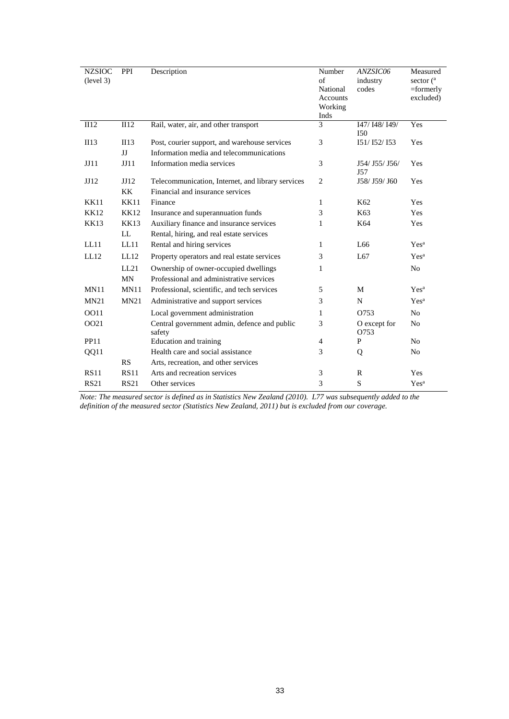| <b>NZSIOC</b> | PPI         | Description                                            | Number         | ANZSIC06              | Measured         |
|---------------|-------------|--------------------------------------------------------|----------------|-----------------------|------------------|
| (level 3)     |             |                                                        | of             | industry              | sector $(^{a}$   |
|               |             |                                                        | National       | codes                 | $=$ formerly     |
|               |             |                                                        | Accounts       |                       | excluded)        |
|               |             |                                                        | Working        |                       |                  |
|               |             |                                                        | Inds           |                       |                  |
| II12          | II12        | Rail, water, air, and other transport                  | 3              | I47/ I48/ I49/<br>I50 | Yes              |
| III3          | II13        | Post, courier support, and warehouse services          | 3              | I51/I52/I53           | Yes              |
|               | $_{\rm JJ}$ | Information media and telecommunications               |                |                       |                  |
| JJ11          | JJ11        | Information media services                             | 3              | J54/ J55/ J56/<br>J57 | Yes              |
| JJ12          | JJ12        | Telecommunication, Internet, and library services      | $\overline{c}$ | J58/J59/J60           | Yes              |
|               | KK.         | Financial and insurance services                       |                |                       |                  |
| <b>KK11</b>   | <b>KK11</b> | Finance                                                | 1              | K62                   | Yes              |
| <b>KK12</b>   | <b>KK12</b> | Insurance and superannuation funds                     | 3              | K63                   | Yes              |
| <b>KK13</b>   | <b>KK13</b> | Auxiliary finance and insurance services               | 1              | K64                   | Yes              |
|               | LL          | Rental, hiring, and real estate services               |                |                       |                  |
| LL11          | LL11        | Rental and hiring services                             | 1              | L <sub>66</sub>       | Yes <sup>a</sup> |
| LL12          | LL12        | Property operators and real estate services            | 3              | L67                   | Yes <sup>a</sup> |
|               | LL21        | Ownership of owner-occupied dwellings                  | 1              |                       | N <sub>0</sub>   |
|               | <b>MN</b>   | Professional and administrative services               |                |                       |                  |
| <b>MN11</b>   | <b>MN11</b> | Professional, scientific, and tech services            | 5              | M                     | Yes <sup>a</sup> |
| MN21          | MN21        | Administrative and support services                    | 3              | $\mathbf N$           | Yes <sup>a</sup> |
| <b>OO11</b>   |             | Local government administration                        | 1              | O <sub>753</sub>      | N <sub>o</sub>   |
| OO21          |             | Central government admin, defence and public<br>safety | 3              | O except for<br>O753  | N <sub>o</sub>   |
| <b>PP11</b>   |             | Education and training                                 | 4              | $\mathbf{P}$          | N <sub>0</sub>   |
| QQ11          |             | Health care and social assistance                      | 3              | Q                     | N <sub>o</sub>   |
|               | <b>RS</b>   | Arts, recreation, and other services                   |                |                       |                  |
| <b>RS11</b>   | RS11        | Arts and recreation services                           | 3              | $\mathbb{R}$          | Yes              |
| <b>RS21</b>   | <b>RS21</b> | Other services                                         | 3              | S                     | Yes <sup>a</sup> |

*Note: The measured sector is defined as in Statistics New Zealand (2010). L77 was subsequently added to the definition of the measured sector (Statistics New Zealand, 2011) but is excluded from our coverage.*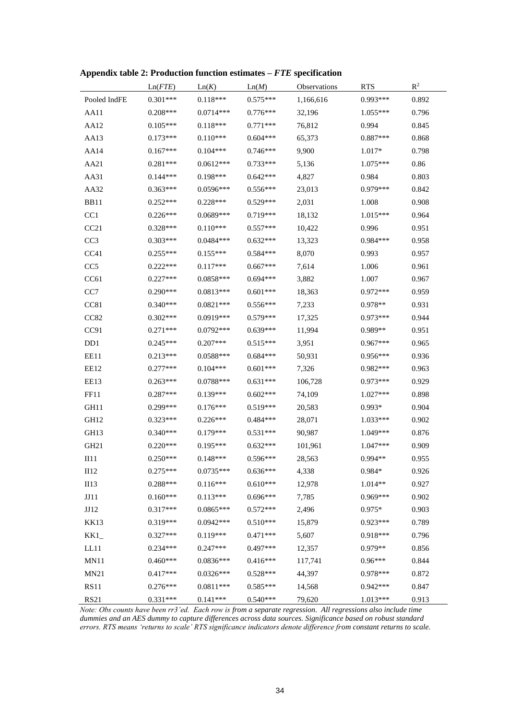<span id="page-38-0"></span>

| Appendix table 2: Production function estimates – FTE specification |  |  |  |
|---------------------------------------------------------------------|--|--|--|
|---------------------------------------------------------------------|--|--|--|

|                  | Ln(FTE)    | Ln(K)       | Ln(M)      | Observations | <b>RTS</b> | $R^2$ |
|------------------|------------|-------------|------------|--------------|------------|-------|
| Pooled IndFE     | $0.301***$ | $0.118***$  | $0.575***$ | 1,166,616    | 0.993***   | 0.892 |
| AA11             | $0.208***$ | $0.0714***$ | $0.776***$ | 32,196       | $1.055***$ | 0.796 |
| AA12             | $0.105***$ | $0.118***$  | $0.771***$ | 76,812       | 0.994      | 0.845 |
| AA13             | $0.173***$ | $0.110***$  | $0.604***$ | 65,373       | $0.887***$ | 0.868 |
| AA14             | $0.167***$ | $0.104***$  | $0.746***$ | 9,900        | 1.017*     | 0.798 |
| AA21             | $0.281***$ | $0.0612***$ | $0.733***$ | 5,136        | $1.075***$ | 0.86  |
| AA31             | $0.144***$ | $0.198***$  | $0.642***$ | 4,827        | 0.984      | 0.803 |
| AA32             | $0.363***$ | $0.0596***$ | $0.556***$ | 23,013       | 0.979***   | 0.842 |
| <b>BB11</b>      | $0.252***$ | $0.228***$  | $0.529***$ | 2,031        | 1.008      | 0.908 |
| CC <sub>1</sub>  | $0.226***$ | $0.0689***$ | $0.719***$ | 18,132       | $1.015***$ | 0.964 |
| CC21             | $0.328***$ | $0.110***$  | $0.557***$ | 10,422       | 0.996      | 0.951 |
| CC <sub>3</sub>  | $0.303***$ | $0.0484***$ | $0.632***$ | 13,323       | 0.984***   | 0.958 |
| CC41             | $0.255***$ | $0.155***$  | $0.584***$ | 8,070        | 0.993      | 0.957 |
| CC <sub>5</sub>  | $0.222***$ | $0.117***$  | $0.667***$ | 7,614        | 1.006      | 0.961 |
| CC61             | $0.227***$ | $0.0858***$ | $0.694***$ | 3,882        | 1.007      | 0.967 |
| CC7              | $0.290***$ | $0.0813***$ | $0.601***$ | 18,363       | $0.972***$ | 0.959 |
| CC81             | $0.340***$ | $0.0821***$ | $0.556***$ | 7,233        | $0.978**$  | 0.931 |
| CC <sub>82</sub> | $0.302***$ | 0.0919***   | $0.579***$ | 17,325       | $0.973***$ | 0.944 |
| CC91             | $0.271***$ | $0.0792***$ | $0.639***$ | 11,994       | $0.989**$  | 0.951 |
| D <sub>D</sub> 1 | $0.245***$ | $0.207***$  | $0.515***$ | 3,951        | $0.967***$ | 0.965 |
| EE11             | $0.213***$ | $0.0588***$ | $0.684***$ | 50,931       | $0.956***$ | 0.936 |
| EE12             | $0.277***$ | $0.104***$  | $0.601***$ | 7,326        | $0.982***$ | 0.963 |
| EE13             | $0.263***$ | $0.0788***$ | $0.631***$ | 106,728      | $0.973***$ | 0.929 |
| FF11             | $0.287***$ | $0.139***$  | $0.602***$ | 74,109       | $1.027***$ | 0.898 |
| GH11             | $0.299***$ | $0.176***$  | $0.519***$ | 20,583       | $0.993*$   | 0.904 |
| GH12             | $0.323***$ | $0.226***$  | $0.484***$ | 28,071       | $1.033***$ | 0.902 |
| GH13             | $0.340***$ | $0.179***$  | $0.531***$ | 90,987       | $1.049***$ | 0.876 |
| GH <sub>21</sub> | $0.220***$ | $0.195***$  | $0.632***$ | 101,961      | $1.047***$ | 0.909 |
| H11              | $0.250***$ | $0.148***$  | $0.596***$ | 28,563       | 0.994**    | 0.955 |
| II12             | $0.275***$ | $0.0735***$ | $0.636***$ | 4,338        | 0.984*     | 0.926 |
| III3             | $0.288***$ | $0.116***$  | $0.610***$ | 12,978       | 1.014**    | 0.927 |
| JJ11             | $0.160***$ | $0.113***$  | $0.696***$ | 7,785        | 0.969***   | 0.902 |
| JJ12             | $0.317***$ | $0.0865***$ | $0.572***$ | 2,496        | $0.975*$   | 0.903 |
| <b>KK13</b>      | $0.319***$ | $0.0942***$ | $0.510***$ | 15,879       | $0.923***$ | 0.789 |
| KK1              | $0.327***$ | $0.119***$  | $0.471***$ | 5,607        | $0.918***$ | 0.796 |
| LL11             | $0.234***$ | $0.247***$  | $0.497***$ | 12,357       | $0.979**$  | 0.856 |
| <b>MN11</b>      | $0.460***$ | $0.0836***$ | $0.416***$ | 117,741      | $0.96***$  | 0.844 |
| <b>MN21</b>      | $0.417***$ | $0.0326***$ | $0.528***$ | 44,397       | $0.978***$ | 0.872 |
| <b>RS11</b>      | $0.276***$ | $0.0811***$ | $0.585***$ | 14,568       | $0.942***$ | 0.847 |
| <b>RS21</b>      | $0.331***$ | $0.141***$  | $0.540***$ | 79,620       | $1.013***$ | 0.913 |

*Note: Obs counts have been rr3'ed. Each row is from a separate regression. All regressions also include time dummies and an AES dummy to capture differences across data sources. Significance based on robust standard errors. RTS means 'returns to scale' RTS significance indicators denote difference from constant returns to scale.*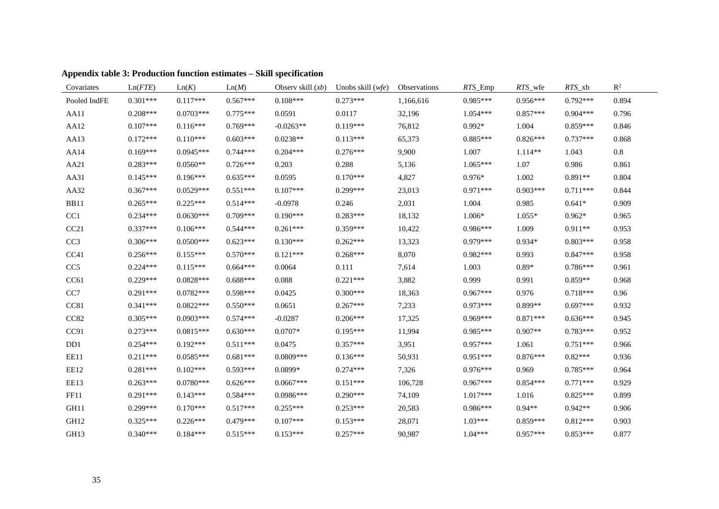<span id="page-39-0"></span>

| Covariates       | Ln(FTE)    | Ln(K)       | Ln(M)      | Observ skill $(xb)$ | Unobs skill $(wfe)$ | <b>Observations</b> | RTS_Emp    | RTS_wfe    | $RTS_x$    | $\mathbb{R}^2$ |
|------------------|------------|-------------|------------|---------------------|---------------------|---------------------|------------|------------|------------|----------------|
| Pooled IndFE     | $0.301***$ | $0.117***$  | $0.567***$ | $0.108***$          | $0.273***$          | 1,166,616           | $0.985***$ | $0.956***$ | $0.792***$ | 0.894          |
| AA11             | $0.208***$ | $0.0703***$ | $0.775***$ | 0.0591              | 0.0117              | 32,196              | $1.054***$ | $0.857***$ | $0.904***$ | 0.796          |
| AA12             | $0.107***$ | $0.116***$  | $0.769***$ | $-0.0263**$         | $0.119***$          | 76,812              | $0.992*$   | 1.004      | $0.859***$ | 0.846          |
| AA13             | $0.172***$ | $0.110***$  | $0.603***$ | $0.0238**$          | $0.113***$          | 65,373              | $0.885***$ | $0.826***$ | $0.737***$ | 0.868          |
| AA14             | $0.169***$ | $0.0945***$ | $0.744***$ | $0.204***$          | $0.276***$          | 9,900               | 1.007      | $1.114**$  | 1.043      | 0.8            |
| AA21             | $0.283***$ | $0.0560**$  | $0.726***$ | 0.203               | 0.288               | 5,136               | $1.065***$ | 1.07       | 0.986      | 0.861          |
| AA31             | $0.145***$ | $0.196***$  | $0.635***$ | 0.0595              | $0.170***$          | 4,827               | $0.976*$   | 1.002      | $0.891**$  | 0.804          |
| AA32             | $0.367***$ | $0.0529***$ | $0.551***$ | $0.107***$          | $0.299***$          | 23,013              | $0.971***$ | $0.903***$ | $0.711***$ | 0.844          |
| <b>BB11</b>      | $0.265***$ | $0.225***$  | $0.514***$ | $-0.0978$           | 0.246               | 2,031               | 1.004      | 0.985      | $0.641*$   | 0.909          |
| CC1              | $0.234***$ | $0.0630***$ | $0.709***$ | $0.190***$          | $0.283***$          | 18,132              | 1.006*     | $1.055*$   | $0.962*$   | 0.965          |
| CC21             | $0.337***$ | $0.106***$  | $0.544***$ | $0.261***$          | $0.359***$          | 10,422              | $0.986***$ | 1.009      | $0.911**$  | 0.953          |
| CC <sub>3</sub>  | $0.306***$ | $0.0500***$ | $0.623***$ | $0.130***$          | $0.262***$          | 13,323              | $0.979***$ | $0.934*$   | $0.803***$ | 0.958          |
| CC41             | $0.256***$ | $0.155***$  | $0.570***$ | $0.121***$          | $0.268***$          | 8,070               | $0.982***$ | 0.993      | $0.847***$ | 0.958          |
| CC <sub>5</sub>  | $0.224***$ | $0.115***$  | $0.664***$ | 0.0064              | 0.111               | 7,614               | 1.003      | $0.89*$    | $0.786***$ | 0.961          |
| CC61             | $0.229***$ | $0.0828***$ | $0.688***$ | 0.088               | $0.221***$          | 3,882               | 0.999      | 0.991      | $0.859**$  | 0.968          |
| CC7              | $0.291***$ | $0.0782***$ | $0.598***$ | 0.0425              | $0.300***$          | 18,363              | $0.967***$ | 0.976      | $0.718***$ | 0.96           |
| CC81             | $0.341***$ | $0.0822***$ | $0.550***$ | 0.0651              | $0.267***$          | 7,233               | $0.973***$ | $0.899**$  | $0.697***$ | 0.932          |
| CC82             | $0.305***$ | $0.0903***$ | $0.574***$ | $-0.0287$           | $0.206***$          | 17,325              | $0.969***$ | $0.871***$ | $0.636***$ | 0.945          |
| CC91             | $0.273***$ | $0.0815***$ | $0.630***$ | $0.0707*$           | $0.195***$          | 11,994              | $0.985***$ | $0.907**$  | $0.783***$ | 0.952          |
| D <sub>D</sub> 1 | $0.254***$ | $0.192***$  | $0.511***$ | 0.0475              | $0.357***$          | 3,951               | $0.957***$ | 1.061      | $0.751***$ | 0.966          |
| <b>EE11</b>      | $0.211***$ | $0.0585***$ | $0.681***$ | $0.0809***$         | $0.136***$          | 50,931              | $0.951***$ | $0.876***$ | $0.82***$  | 0.936          |
| EE12             | $0.281***$ | $0.102***$  | $0.593***$ | 0.0899*             | $0.274***$          | 7,326               | $0.976***$ | 0.969      | $0.785***$ | 0.964          |
| EE13             | $0.263***$ | $0.0780***$ | $0.626***$ | $0.0667***$         | $0.151***$          | 106,728             | $0.967***$ | $0.854***$ | $0.771***$ | 0.929          |
| <b>FF11</b>      | $0.291***$ | $0.143***$  | $0.584***$ | $0.0986***$         | $0.290***$          | 74,109              | $1.017***$ | 1.016      | $0.825***$ | 0.899          |
| GH11             | $0.299***$ | $0.170***$  | $0.517***$ | $0.255***$          | $0.253***$          | 20,583              | $0.986***$ | $0.94**$   | $0.942**$  | 0.906          |
| GH12             | $0.325***$ | $0.226***$  | $0.479***$ | $0.107***$          | $0.153***$          | 28,071              | $1.03***$  | $0.859***$ | $0.812***$ | 0.903          |
| GH13             | $0.340***$ | $0.184***$  | $0.515***$ | $0.153***$          | $0.257***$          | 90.987              | $1.04***$  | $0.957***$ | $0.853***$ | 0.877          |

**Appendix table 3: Production function estimates – Skill specification**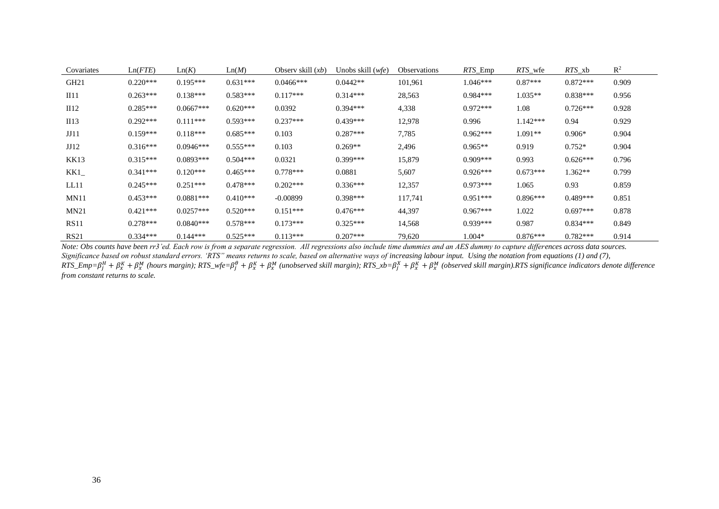| Covariates       | Ln(FTE)    | Ln(K)       | Ln(M)      | Observ skill $(xb)$ | Unobs skill (wfe) | Observations | RTS_Emp    | RTS wfe    | $RTS_x$    | $\mathbb{R}^2$ |
|------------------|------------|-------------|------------|---------------------|-------------------|--------------|------------|------------|------------|----------------|
| GH <sub>21</sub> | $0.220***$ | $0.195***$  | $0.631***$ | $0.0466$ ***        | $0.0442**$        | 101,961      | $1.046***$ | $0.87***$  | $0.872***$ | 0.909          |
| II11             | $0.263***$ | $0.138***$  | $0.583***$ | $0.117***$          | $0.314***$        | 28,563       | $0.984***$ | $1.035**$  | $0.838***$ | 0.956          |
| II12             | $0.285***$ | $0.0667***$ | $0.620***$ | 0.0392              | $0.394***$        | 4,338        | $0.972***$ | 1.08       | $0.726***$ | 0.928          |
| II13             | $0.292***$ | $0.111***$  | $0.593***$ | $0.237***$          | $0.439***$        | 12,978       | 0.996      | $1.142***$ | 0.94       | 0.929          |
| JJ11             | $0.159***$ | $0.118***$  | $0.685***$ | 0.103               | $0.287***$        | 7,785        | $0.962***$ | $1.091**$  | $0.906*$   | 0.904          |
| JJ12             | $0.316***$ | $0.0946***$ | $0.555***$ | 0.103               | $0.269**$         | 2,496        | $0.965**$  | 0.919      | $0.752*$   | 0.904          |
| <b>KK13</b>      | $0.315***$ | $0.0893***$ | $0.504***$ | 0.0321              | $0.399***$        | 15,879       | $0.909***$ | 0.993      | $0.626***$ | 0.796          |
| KK1              | $0.341***$ | $0.120***$  | $0.465***$ | $0.778***$          | 0.0881            | 5,607        | $0.926***$ | $0.673***$ | $1.362**$  | 0.799          |
| LL11             | $0.245***$ | $0.251***$  | $0.478***$ | $0.202***$          | $0.336***$        | 12,357       | $0.973***$ | 1.065      | 0.93       | 0.859          |
| MN11             | $0.453***$ | $0.0881***$ | $0.410***$ | $-0.00899$          | $0.398***$        | 117.741      | $0.951***$ | $0.896***$ | $0.489***$ | 0.851          |
| MN21             | $0.421***$ | $0.0257***$ | $0.520***$ | $0.151***$          | $0.476***$        | 44,397       | $0.967***$ | 1.022      | $0.697***$ | 0.878          |
| RS11             | $0.278***$ | $0.0840***$ | $0.578***$ | $0.173***$          | $0.325***$        | 14,568       | $0.939***$ | 0.987      | $0.834***$ | 0.849          |
| <b>RS21</b>      | $0.334***$ | $0.144***$  | $0.525***$ | $0.113***$          | $0.207***$        | 79,620       | 1.004*     | $0.876***$ | $0.782***$ | 0.914          |

*Note: Obs counts have been rr3'ed. Each row is from a separate regression. All regressions also include time dummies and an AES dummy to capture differences across data sources.*  Significance based on robust standard errors. 'RTS'' means returns to scale, based on alternative ways of increasing labour input. Using the notation from equations [\(1\)](#page-7-1) and [\(7\)](#page-9-3),  $RTS\_Emp=\beta_j^H+\beta_x^K+\beta_x^M$  (hours margin);  $RTS\_wfe=\beta_j^\theta+\beta_x^K+\beta_x^M$  (unobserved skill margin);  $RTS\_xb=\beta_j^K+\beta_x^K+\beta_x^M$  (observed skill margin).RTS significance indicators denote difference *from constant returns to scale.*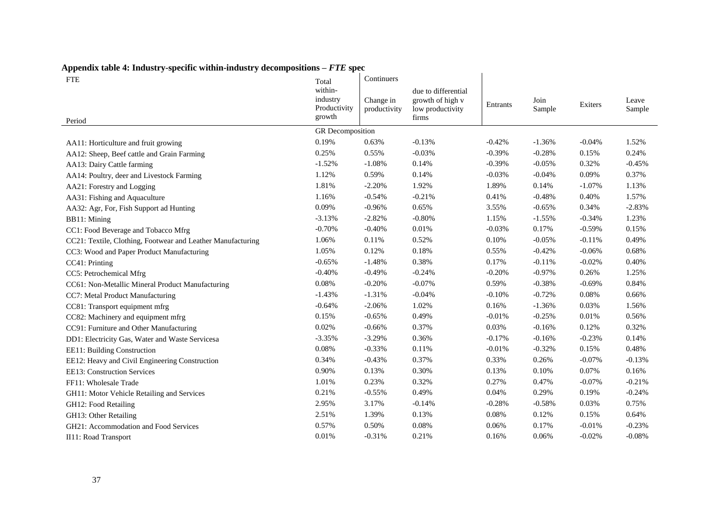<span id="page-41-0"></span>

| <b>FTE</b>                                                  | Total                                         | Continuers                |                                                                      |          |                |          |                 |
|-------------------------------------------------------------|-----------------------------------------------|---------------------------|----------------------------------------------------------------------|----------|----------------|----------|-----------------|
| Period                                                      | within-<br>industry<br>Productivity<br>growth | Change in<br>productivity | due to differential<br>growth of high v<br>low productivity<br>firms | Entrants | Join<br>Sample | Exiters  | Leave<br>Sample |
|                                                             | GR Decomposition                              |                           |                                                                      |          |                |          |                 |
| AA11: Horticulture and fruit growing                        | 0.19%                                         | 0.63%                     | $-0.13%$                                                             | $-0.42%$ | $-1.36%$       | $-0.04%$ | 1.52%           |
| AA12: Sheep, Beef cattle and Grain Farming                  | 0.25%                                         | 0.55%                     | $-0.03%$                                                             | $-0.39%$ | $-0.28%$       | 0.15%    | 0.24%           |
| AA13: Dairy Cattle farming                                  | $-1.52%$                                      | $-1.08%$                  | 0.14%                                                                | $-0.39%$ | $-0.05%$       | 0.32%    | $-0.45%$        |
| AA14: Poultry, deer and Livestock Farming                   | 1.12%                                         | 0.59%                     | 0.14%                                                                | $-0.03%$ | $-0.04%$       | 0.09%    | 0.37%           |
| AA21: Forestry and Logging                                  | 1.81%                                         | $-2.20%$                  | 1.92%                                                                | 1.89%    | 0.14%          | $-1.07%$ | 1.13%           |
| AA31: Fishing and Aquaculture                               | 1.16%                                         | $-0.54%$                  | $-0.21%$                                                             | 0.41%    | $-0.48%$       | 0.40%    | 1.57%           |
| AA32: Agr, For, Fish Support ad Hunting                     | 0.09%                                         | $-0.96%$                  | 0.65%                                                                | 3.55%    | $-0.65%$       | 0.34%    | $-2.83%$        |
| BB11: Mining                                                | $-3.13%$                                      | $-2.82%$                  | $-0.80%$                                                             | 1.15%    | $-1.55%$       | $-0.34%$ | 1.23%           |
| CC1: Food Beverage and Tobacco Mfrg                         | $-0.70%$                                      | $-0.40%$                  | 0.01%                                                                | $-0.03%$ | 0.17%          | $-0.59%$ | 0.15%           |
| CC21: Textile, Clothing, Footwear and Leather Manufacturing | 1.06%                                         | 0.11%                     | 0.52%                                                                | 0.10%    | $-0.05%$       | $-0.11%$ | 0.49%           |
| CC3: Wood and Paper Product Manufacturing                   | 1.05%                                         | 0.12%                     | 0.18%                                                                | 0.55%    | $-0.42%$       | $-0.06%$ | 0.68%           |
| CC41: Printing                                              | $-0.65%$                                      | $-1.48%$                  | 0.38%                                                                | 0.17%    | $-0.11%$       | $-0.02%$ | 0.40%           |
| CC5: Petrochemical Mfrg                                     | $-0.40%$                                      | $-0.49%$                  | $-0.24%$                                                             | $-0.20%$ | $-0.97%$       | 0.26%    | 1.25%           |
| CC61: Non-Metallic Mineral Product Manufacturing            | 0.08%                                         | $-0.20%$                  | $-0.07%$                                                             | 0.59%    | $-0.38%$       | $-0.69%$ | 0.84%           |
| CC7: Metal Product Manufacturing                            | $-1.43%$                                      | $-1.31%$                  | $-0.04%$                                                             | $-0.10%$ | $-0.72%$       | 0.08%    | 0.66%           |
| CC81: Transport equipment mfrg                              | $-0.64%$                                      | $-2.06%$                  | 1.02%                                                                | 0.16%    | $-1.36%$       | 0.03%    | 1.56%           |
| CC82: Machinery and equipment mfrg                          | 0.15%                                         | $-0.65%$                  | 0.49%                                                                | $-0.01%$ | $-0.25%$       | 0.01%    | 0.56%           |
| CC91: Furniture and Other Manufacturing                     | 0.02%                                         | $-0.66%$                  | 0.37%                                                                | 0.03%    | $-0.16%$       | 0.12%    | 0.32%           |
| DD1: Electricity Gas, Water and Waste Servicesa             | $-3.35%$                                      | $-3.29%$                  | 0.36%                                                                | $-0.17%$ | $-0.16%$       | $-0.23%$ | 0.14%           |
| EE11: Building Construction                                 | 0.08%                                         | $-0.33%$                  | 0.11%                                                                | $-0.01%$ | $-0.32%$       | 0.15%    | 0.48%           |
| EE12: Heavy and Civil Engineering Construction              | 0.34%                                         | $-0.43%$                  | 0.37%                                                                | 0.33%    | 0.26%          | $-0.07%$ | $-0.13%$        |
| EE13: Construction Services                                 | 0.90%                                         | 0.13%                     | 0.30%                                                                | 0.13%    | 0.10%          | 0.07%    | 0.16%           |
| FF11: Wholesale Trade                                       | 1.01%                                         | 0.23%                     | 0.32%                                                                | 0.27%    | 0.47%          | $-0.07%$ | $-0.21%$        |
| GH11: Motor Vehicle Retailing and Services                  | 0.21%                                         | $-0.55%$                  | 0.49%                                                                | 0.04%    | 0.29%          | 0.19%    | $-0.24%$        |
| GH12: Food Retailing                                        | 2.95%                                         | 3.17%                     | $-0.14%$                                                             | $-0.28%$ | $-0.58%$       | 0.03%    | 0.75%           |
| GH13: Other Retailing                                       | 2.51%                                         | 1.39%                     | 0.13%                                                                | 0.08%    | 0.12%          | 0.15%    | 0.64%           |
| GH21: Accommodation and Food Services                       | 0.57%                                         | 0.50%                     | 0.08%                                                                | 0.06%    | 0.17%          | $-0.01%$ | $-0.23%$        |
| II11: Road Transport                                        | 0.01%                                         | $-0.31%$                  | 0.21%                                                                | 0.16%    | 0.06%          | $-0.02%$ | $-0.08%$        |

## **Appendix table 4: Industry-specific within-industry decompositions –** *FTE* **spec**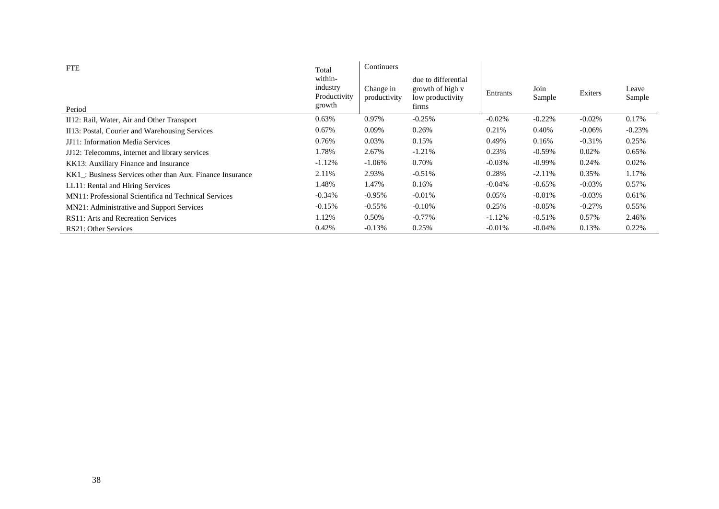| <b>FTE</b><br>Period                                     | Total<br>within-<br>industry<br>Productivity<br>growth | Continuers<br>Change in<br>productivity | due to differential<br>growth of high v<br>low productivity<br>firms | Entrants  | Join<br>Sample | Exiters  | Leave<br>Sample |
|----------------------------------------------------------|--------------------------------------------------------|-----------------------------------------|----------------------------------------------------------------------|-----------|----------------|----------|-----------------|
| II12: Rail, Water, Air and Other Transport               | 0.63%                                                  | 0.97%                                   | $-0.25%$                                                             | $-0.02\%$ | $-0.22%$       | $-0.02%$ | 0.17%           |
| II13: Postal, Courier and Warehousing Services           | 0.67%                                                  | 0.09%                                   | 0.26%                                                                | 0.21%     | 0.40%          | $-0.06%$ | $-0.23%$        |
| <b>JJ11:</b> Information Media Services                  | 0.76%                                                  | 0.03%                                   | 0.15%                                                                | 0.49%     | 0.16%          | $-0.31%$ | 0.25%           |
| JJ12: Telecomms, internet and library services           | 1.78%                                                  | 2.67%                                   | $-1.21%$                                                             | 0.23%     | $-0.59%$       | 0.02%    | 0.65%           |
| KK13: Auxiliary Finance and Insurance                    | $-1.12%$                                               | $-1.06%$                                | 0.70%                                                                | $-0.03%$  | $-0.99\%$      | 0.24%    | 0.02%           |
| KK1: Business Services other than Aux. Finance Insurance | 2.11%                                                  | 2.93%                                   | $-0.51%$                                                             | 0.28%     | $-2.11%$       | 0.35%    | 1.17%           |
| LL11: Rental and Hiring Services                         | 1.48%                                                  | 1.47%                                   | 0.16%                                                                | $-0.04\%$ | $-0.65%$       | $-0.03%$ | 0.57%           |
| MN11: Professional Scientifica nd Technical Services     | $-0.34%$                                               | $-0.95%$                                | $-0.01\%$                                                            | 0.05%     | $-0.01%$       | $-0.03%$ | 0.61%           |
| MN21: Administrative and Support Services                | $-0.15%$                                               | $-0.55%$                                | $-0.10%$                                                             | 0.25%     | $-0.05%$       | $-0.27%$ | 0.55%           |
| RS11: Arts and Recreation Services                       | 1.12%                                                  | 0.50%                                   | $-0.77\%$                                                            | $-1.12%$  | $-0.51%$       | 0.57%    | 2.46%           |
| RS21: Other Services                                     | 0.42%                                                  | $-0.13%$                                | 0.25%                                                                | $-0.01\%$ | $-0.04%$       | 0.13%    | 0.22%           |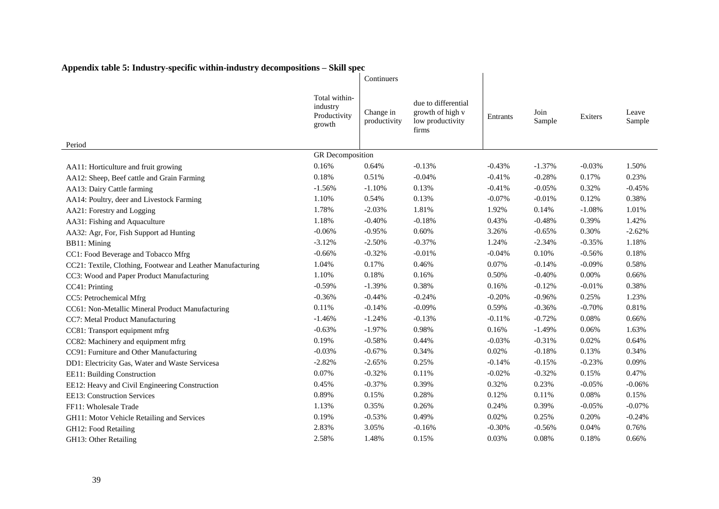## **Appendix table 5: Industry-specific within-industry decompositions – Skill spec**

<span id="page-43-0"></span>

|                                                             |                                                     | Continuers                |                                                                      |          |                |          |                 |
|-------------------------------------------------------------|-----------------------------------------------------|---------------------------|----------------------------------------------------------------------|----------|----------------|----------|-----------------|
|                                                             | Total within-<br>industry<br>Productivity<br>growth | Change in<br>productivity | due to differential<br>growth of high v<br>low productivity<br>firms | Entrants | Join<br>Sample | Exiters  | Leave<br>Sample |
| Period                                                      |                                                     |                           |                                                                      |          |                |          |                 |
|                                                             | GR Decomposition                                    |                           |                                                                      |          |                |          |                 |
| AA11: Horticulture and fruit growing                        | 0.16%                                               | 0.64%                     | $-0.13%$                                                             | $-0.43%$ | $-1.37%$       | $-0.03%$ | 1.50%           |
| AA12: Sheep, Beef cattle and Grain Farming                  | 0.18%                                               | 0.51%                     | $-0.04%$                                                             | $-0.41%$ | $-0.28%$       | 0.17%    | 0.23%           |
| AA13: Dairy Cattle farming                                  | $-1.56%$                                            | $-1.10%$                  | 0.13%                                                                | $-0.41%$ | $-0.05%$       | 0.32%    | $-0.45%$        |
| AA14: Poultry, deer and Livestock Farming                   | 1.10%                                               | 0.54%                     | 0.13%                                                                | $-0.07%$ | $-0.01%$       | 0.12%    | 0.38%           |
| AA21: Forestry and Logging                                  | 1.78%                                               | $-2.03%$                  | 1.81%                                                                | 1.92%    | 0.14%          | $-1.08%$ | 1.01%           |
| AA31: Fishing and Aquaculture                               | 1.18%                                               | $-0.40%$                  | $-0.18%$                                                             | 0.43%    | $-0.48%$       | 0.39%    | 1.42%           |
| AA32: Agr, For, Fish Support ad Hunting                     | $-0.06%$                                            | $-0.95%$                  | 0.60%                                                                | 3.26%    | $-0.65%$       | 0.30%    | $-2.62%$        |
| BB11: Mining                                                | $-3.12%$                                            | $-2.50%$                  | $-0.37%$                                                             | 1.24%    | $-2.34%$       | $-0.35%$ | 1.18%           |
| CC1: Food Beverage and Tobacco Mfrg                         | $-0.66%$                                            | $-0.32%$                  | $-0.01%$                                                             | $-0.04%$ | 0.10%          | $-0.56%$ | 0.18%           |
| CC21: Textile, Clothing, Footwear and Leather Manufacturing | 1.04%                                               | 0.17%                     | 0.46%                                                                | 0.07%    | $-0.14%$       | $-0.09%$ | 0.58%           |
| CC3: Wood and Paper Product Manufacturing                   | 1.10%                                               | 0.18%                     | 0.16%                                                                | 0.50%    | $-0.40%$       | 0.00%    | 0.66%           |
| CC41: Printing                                              | $-0.59%$                                            | $-1.39%$                  | 0.38%                                                                | 0.16%    | $-0.12%$       | $-0.01%$ | 0.38%           |
| CC5: Petrochemical Mfrg                                     | $-0.36%$                                            | $-0.44%$                  | $-0.24%$                                                             | $-0.20%$ | $-0.96%$       | 0.25%    | 1.23%           |
| CC61: Non-Metallic Mineral Product Manufacturing            | 0.11%                                               | $-0.14%$                  | $-0.09%$                                                             | 0.59%    | $-0.36%$       | $-0.70%$ | 0.81%           |
| CC7: Metal Product Manufacturing                            | $-1.46%$                                            | $-1.24%$                  | $-0.13%$                                                             | $-0.11%$ | $-0.72%$       | 0.08%    | 0.66%           |
| CC81: Transport equipment mfrg                              | $-0.63%$                                            | $-1.97%$                  | 0.98%                                                                | 0.16%    | $-1.49%$       | 0.06%    | 1.63%           |
| CC82: Machinery and equipment mfrg                          | 0.19%                                               | $-0.58%$                  | 0.44%                                                                | $-0.03%$ | $-0.31%$       | 0.02%    | 0.64%           |
| CC91: Furniture and Other Manufacturing                     | $-0.03%$                                            | $-0.67%$                  | 0.34%                                                                | 0.02%    | $-0.18%$       | 0.13%    | 0.34%           |
| DD1: Electricity Gas, Water and Waste Servicesa             | $-2.82%$                                            | $-2.65%$                  | 0.25%                                                                | $-0.14%$ | $-0.15%$       | $-0.23%$ | 0.09%           |
| EE11: Building Construction                                 | 0.07%                                               | $-0.32%$                  | 0.11%                                                                | $-0.02%$ | $-0.32%$       | 0.15%    | 0.47%           |
| EE12: Heavy and Civil Engineering Construction              | 0.45%                                               | $-0.37%$                  | 0.39%                                                                | 0.32%    | 0.23%          | $-0.05%$ | $-0.06%$        |
| <b>EE13: Construction Services</b>                          | 0.89%                                               | 0.15%                     | 0.28%                                                                | 0.12%    | 0.11%          | 0.08%    | 0.15%           |
| FF11: Wholesale Trade                                       | 1.13%                                               | 0.35%                     | 0.26%                                                                | 0.24%    | 0.39%          | $-0.05%$ | $-0.07%$        |
| GH11: Motor Vehicle Retailing and Services                  | 0.19%                                               | $-0.53%$                  | 0.49%                                                                | 0.02%    | 0.25%          | 0.20%    | $-0.24%$        |
| GH12: Food Retailing                                        | 2.83%                                               | 3.05%                     | $-0.16%$                                                             | $-0.30%$ | $-0.56%$       | 0.04%    | 0.76%           |
| GH13: Other Retailing                                       | 2.58%                                               | 1.48%                     | 0.15%                                                                | 0.03%    | 0.08%          | 0.18%    | 0.66%           |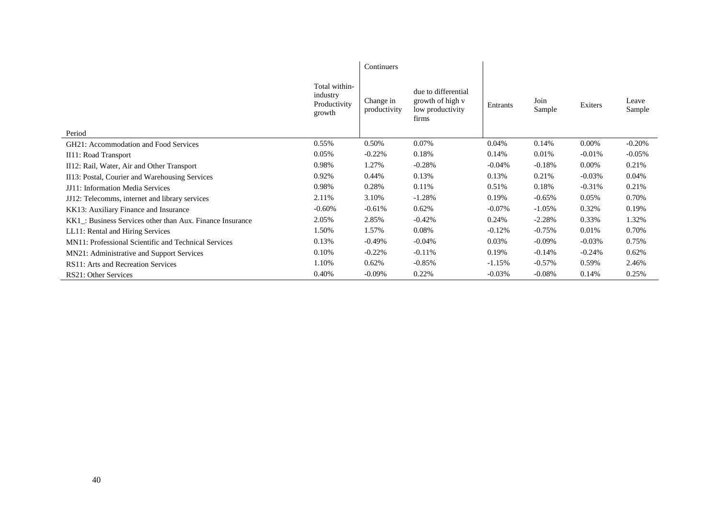|                                                           |                                                     | Continuers                |                                                                      |           |                |           |                 |
|-----------------------------------------------------------|-----------------------------------------------------|---------------------------|----------------------------------------------------------------------|-----------|----------------|-----------|-----------------|
|                                                           | Total within-<br>industry<br>Productivity<br>growth | Change in<br>productivity | due to differential<br>growth of high v<br>low productivity<br>firms | Entrants  | Join<br>Sample | Exiters   | Leave<br>Sample |
| Period                                                    |                                                     |                           |                                                                      |           |                |           |                 |
| GH21: Accommodation and Food Services                     | 0.55%                                               | 0.50%                     | 0.07%                                                                | 0.04%     | 0.14%          | 0.00%     | $-0.20%$        |
| II11: Road Transport                                      | 0.05%                                               | $-0.22%$                  | 0.18%                                                                | 0.14%     | 0.01%          | $-0.01%$  | $-0.05\%$       |
| II12: Rail, Water, Air and Other Transport                | 0.98%                                               | 1.27%                     | $-0.28%$                                                             | $-0.04\%$ | $-0.18%$       | $0.00\%$  | 0.21%           |
| II13: Postal, Courier and Warehousing Services            | 0.92%                                               | 0.44%                     | 0.13%                                                                | 0.13%     | 0.21%          | $-0.03\%$ | 0.04%           |
| <b>JJ11:</b> Information Media Services                   | 0.98%                                               | 0.28%                     | 0.11%                                                                | 0.51%     | 0.18%          | $-0.31%$  | 0.21%           |
| JJ12: Telecomms, internet and library services            | 2.11%                                               | 3.10%                     | $-1.28%$                                                             | 0.19%     | $-0.65%$       | 0.05%     | 0.70%           |
| KK13: Auxiliary Finance and Insurance                     | $-0.60\%$                                           | $-0.61%$                  | 0.62%                                                                | $-0.07\%$ | $-1.05%$       | 0.32%     | 0.19%           |
| KK1_: Business Services other than Aux. Finance Insurance | 2.05%                                               | 2.85%                     | $-0.42%$                                                             | 0.24%     | $-2.28%$       | 0.33%     | 1.32%           |
| LL11: Rental and Hiring Services                          | 1.50%                                               | 1.57%                     | 0.08%                                                                | $-0.12%$  | $-0.75%$       | 0.01%     | 0.70%           |
| MN11: Professional Scientific and Technical Services      | 0.13%                                               | $-0.49%$                  | $-0.04%$                                                             | 0.03%     | $-0.09\%$      | $-0.03%$  | 0.75%           |
| MN21: Administrative and Support Services                 | 0.10%                                               | $-0.22%$                  | $-0.11%$                                                             | 0.19%     | $-0.14%$       | $-0.24%$  | 0.62%           |
| RS11: Arts and Recreation Services                        | 1.10%                                               | 0.62%                     | $-0.85%$                                                             | $-1.15%$  | $-0.57\%$      | 0.59%     | 2.46%           |
| RS21: Other Services                                      | 0.40%                                               | $-0.09\%$                 | 0.22%                                                                | $-0.03%$  | $-0.08%$       | 0.14%     | 0.25%           |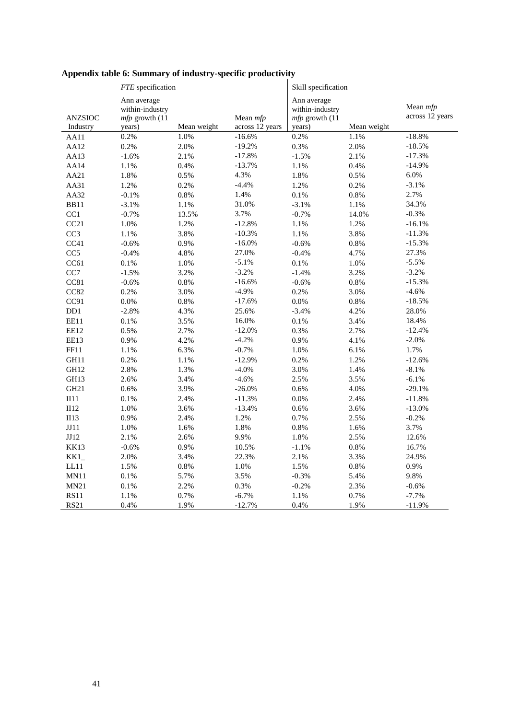|                            | FTE specification                                               |             |                             | Skill specification                                            |             |                             |
|----------------------------|-----------------------------------------------------------------|-------------|-----------------------------|----------------------------------------------------------------|-------------|-----------------------------|
| <b>ANZSIOC</b><br>Industry | Ann average<br>within-industry<br>$mfp$ growth $(11)$<br>years) | Mean weight | Mean mfp<br>across 12 years | Ann average<br>within-industry<br>$mfp$ growth $(11$<br>years) | Mean weight | Mean mfp<br>across 12 years |
| AA11                       | 0.2%                                                            | 1.0%        | $-16.6%$                    | 0.2%                                                           | 1.1%        | $-18.8%$                    |
| AA12                       | 0.2%                                                            | 2.0%        | $-19.2%$                    | 0.3%                                                           | 2.0%        | $-18.5%$                    |
| AA13                       | $-1.6%$                                                         | 2.1%        | $-17.8%$                    | $-1.5%$                                                        | 2.1%        | $-17.3%$                    |
| AA14                       | 1.1%                                                            | 0.4%        | $-13.7%$                    | 1.1%                                                           | 0.4%        | $-14.9%$                    |
| AA21                       | 1.8%                                                            | 0.5%        | 4.3%                        | 1.8%                                                           | 0.5%        | 6.0%                        |
| AA31                       | 1.2%                                                            | 0.2%        | $-4.4%$                     | 1.2%                                                           | 0.2%        | $-3.1%$                     |
| AA32                       | $-0.1%$                                                         | 0.8%        | 1.4%                        | 0.1%                                                           | 0.8%        | 2.7%                        |
| <b>BB11</b>                | $-3.1%$                                                         | 1.1%        | 31.0%                       | $-3.1%$                                                        | 1.1%        | 34.3%                       |
| CC1                        | $-0.7%$                                                         | 13.5%       | 3.7%                        | $-0.7%$                                                        | 14.0%       | $-0.3%$                     |
| CC21                       | 1.0%                                                            | 1.2%        | $-12.8%$                    | 1.1%                                                           | 1.2%        | $-16.1%$                    |
| CC <sub>3</sub>            | 1.1%                                                            | 3.8%        | $-10.3%$                    | 1.1%                                                           | 3.8%        | $-11.3%$                    |
| CC41                       | $-0.6%$                                                         | 0.9%        | $-16.0\%$                   | $-0.6%$                                                        | $0.8\%$     | $-15.3%$                    |
| CC5                        | $-0.4%$                                                         | 4.8%        | 27.0%                       | $-0.4%$                                                        | 4.7%        | 27.3%                       |
| CC61                       | 0.1%                                                            | 1.0%        | $-5.1%$                     | 0.1%                                                           | 1.0%        | $-5.5%$                     |
| CC7                        | $-1.5%$                                                         | 3.2%        | $-3.2%$                     | $-1.4%$                                                        | 3.2%        | $-3.2%$                     |
| CC81                       | $-0.6%$                                                         | 0.8%        | $-16.6%$                    | $-0.6%$                                                        | 0.8%        | $-15.3%$                    |
| CC82                       | 0.2%                                                            | 3.0%        | $-4.9%$                     | 0.2%                                                           | 3.0%        | $-4.6%$                     |
| CC91                       | $0.0\%$                                                         | $0.8\%$     | $-17.6%$                    | $0.0\%$                                                        | $0.8\%$     | $-18.5%$                    |
| DD1                        | $-2.8%$                                                         | 4.3%        | 25.6%                       | $-3.4%$                                                        | 4.2%        | 28.0%                       |
| EE11                       | $0.1\%$                                                         | 3.5%        | 16.0%                       | 0.1%                                                           | 3.4%        | 18.4%                       |
| EE12                       | 0.5%                                                            | 2.7%        | $-12.0%$                    | 0.3%                                                           | 2.7%        | $-12.4%$                    |
| EE13                       | 0.9%                                                            | 4.2%        | $-4.2%$                     | 0.9%                                                           | 4.1%        | $-2.0%$                     |
| FF11                       | 1.1%                                                            | 6.3%        | $-0.7%$                     | 1.0%                                                           | 6.1%        | 1.7%                        |
| GH11                       | 0.2%                                                            | 1.1%        | $-12.9%$                    | 0.2%                                                           | 1.2%        | $-12.6%$                    |
| GH12                       | 2.8%                                                            | 1.3%        | $-4.0%$                     | 3.0%                                                           | 1.4%        | $-8.1%$                     |
| GH13                       | 2.6%                                                            | 3.4%        | $-4.6%$                     | 2.5%                                                           | 3.5%        | $-6.1%$                     |
| GH21                       | 0.6%                                                            | 3.9%        | $-26.0\%$                   | 0.6%                                                           | 4.0%        | $-29.1%$                    |
| II11                       | 0.1%                                                            | 2.4%        | $-11.3%$                    | $0.0\%$                                                        | 2.4%        | $-11.8%$                    |
| II12                       | 1.0%                                                            | 3.6%        | $-13.4%$                    | 0.6%                                                           | 3.6%        | $-13.0%$                    |
| <b>II13</b>                | 0.9%                                                            | 2.4%        | 1.2%                        | 0.7%                                                           | 2.5%        | $-0.2%$                     |
| JJ11                       | 1.0%                                                            | 1.6%        | 1.8%                        | $0.8\%$                                                        | 1.6%        | 3.7%                        |
| JJ12                       | 2.1%                                                            | 2.6%        | 9.9%                        | 1.8%                                                           | 2.5%        | 12.6%                       |
| <b>KK13</b>                | $-0.6%$                                                         | 0.9%        | 10.5%                       | $-1.1%$                                                        | 0.8%        | 16.7%                       |
| KK1                        | 2.0%                                                            | 3.4%        | 22.3%                       | 2.1%                                                           | 3.3%        | 24.9%                       |
| LL11                       | 1.5%                                                            | 0.8%        | 1.0%                        | 1.5%                                                           | 0.8%        | 0.9%                        |
| MN11                       | 0.1%                                                            | 5.7%        | 3.5%                        | $-0.3%$                                                        | 5.4%        | 9.8%                        |
| <b>MN21</b>                | 0.1%                                                            | 2.2%        | 0.3%                        | $-0.2%$                                                        | 2.3%        | $-0.6%$                     |
| RS11                       | 1.1%                                                            | 0.7%        | $-6.7%$                     | 1.1%                                                           | 0.7%        | $-7.7%$                     |
| <b>RS21</b>                | 0.4%                                                            | 1.9%        | $-12.7%$                    | 0.4%                                                           | 1.9%        | $-11.9%$                    |

# **Appendix table 6: Summary of industry-specific productivity**